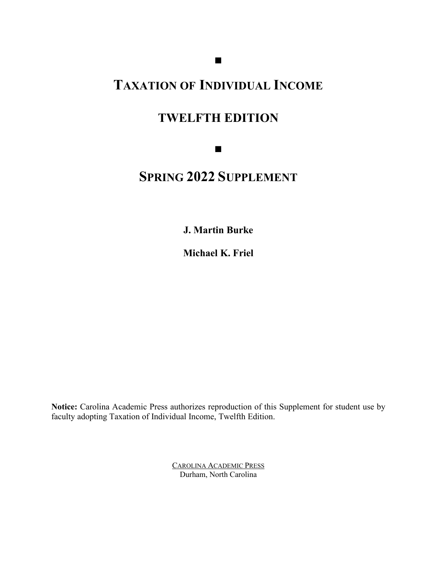## **TAXATION OF INDIVIDUAL INCOME**

## **TWELFTH EDITION**

■

# **SPRING 2022 SUPPLEMENT**

**J. Martin Burke**

**Michael K. Friel**

**Notice:** Carolina Academic Press authorizes reproduction of this Supplement for student use by faculty adopting Taxation of Individual Income, Twelfth Edition.

> CAROLINA ACADEMIC PRESS Durham, North Carolina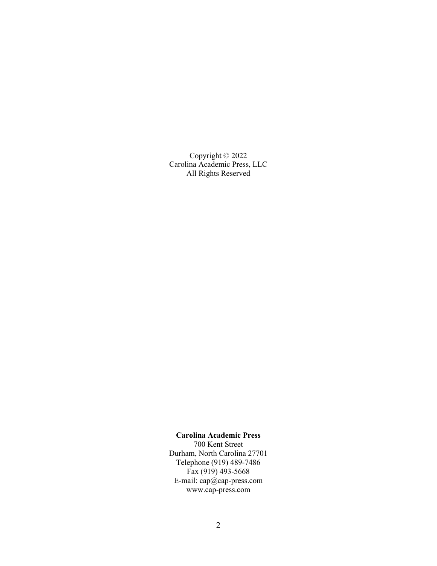Copyright © 2022 Carolina Academic Press, LLC All Rights Reserved

#### **Carolina Academic Press**

700 Kent Street Durham, North Carolina 27701 Telephone (919) 489-7486  $Fax (919) 493 - 5668$ E-mail: cap@cap-press.com www.cap-press.com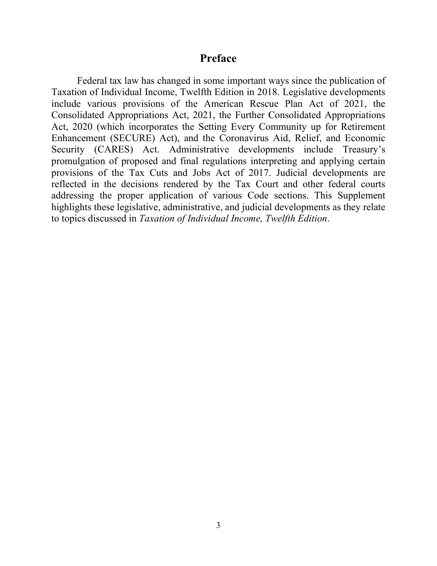### **Preface**

Federal tax law has changed in some important ways since the publication of Taxation of Individual Income, Twelfth Edition in 2018. Legislative developments include various provisions of the American Rescue Plan Act of 2021, the Consolidated Appropriations Act, 2021, the Further Consolidated Appropriations Act, 2020 (which incorporates the Setting Every Community up for Retirement Enhancement (SECURE) Act), and the Coronavirus Aid, Relief, and Economic Security (CARES) Act. Administrative developments include Treasury's promulgation of proposed and final regulations interpreting and applying certain provisions of the Tax Cuts and Jobs Act of 2017. Judicial developments are reflected in the decisions rendered by the Tax Court and other federal courts addressing the proper application of various Code sections. This Supplement highlights these legislative, administrative, and judicial developments as they relate to topics discussed in *Taxation of Individual Income, Twelfth Edition*.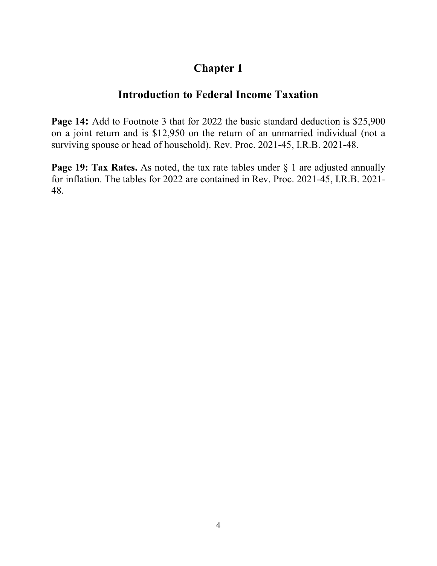### **Introduction to Federal Income Taxation**

**Page 14:** Add to Footnote 3 that for 2022 the basic standard deduction is \$25,900 on a joint return and is \$12,950 on the return of an unmarried individual (not a surviving spouse or head of household). Rev. Proc. 2021-45, I.R.B. 2021-48.

**Page 19: Tax Rates.** As noted, the tax rate tables under § 1 are adjusted annually for inflation. The tables for 2022 are contained in Rev. Proc. 2021-45, I.R.B. 2021- 48.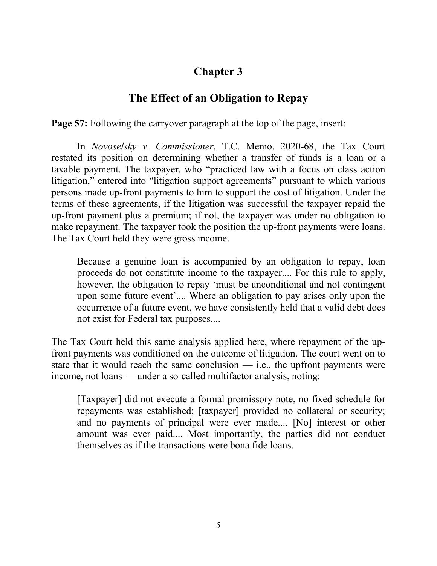### **The Effect of an Obligation to Repay**

**Page 57:** Following the carryover paragraph at the top of the page, insert:

In *Novoselsky v. Commissioner*, T.C. Memo. 2020-68, the Tax Court restated its position on determining whether a transfer of funds is a loan or a taxable payment. The taxpayer, who "practiced law with a focus on class action litigation," entered into "litigation support agreements" pursuant to which various persons made up-front payments to him to support the cost of litigation. Under the terms of these agreements, if the litigation was successful the taxpayer repaid the up-front payment plus a premium; if not, the taxpayer was under no obligation to make repayment. The taxpayer took the position the up-front payments were loans. The Tax Court held they were gross income.

Because a genuine loan is accompanied by an obligation to repay, loan proceeds do not constitute income to the taxpayer.... For this rule to apply, however, the obligation to repay 'must be unconditional and not contingent upon some future event'.... Where an obligation to pay arises only upon the occurrence of a future event, we have consistently held that a valid debt does not exist for Federal tax purposes....

The Tax Court held this same analysis applied here, where repayment of the upfront payments was conditioned on the outcome of litigation. The court went on to state that it would reach the same conclusion  $-$  i.e., the upfront payments were income, not loans — under a so-called multifactor analysis, noting:

[Taxpayer] did not execute a formal promissory note, no fixed schedule for repayments was established; [taxpayer] provided no collateral or security; and no payments of principal were ever made.... [No] interest or other amount was ever paid.... Most importantly, the parties did not conduct themselves as if the transactions were bona fide loans.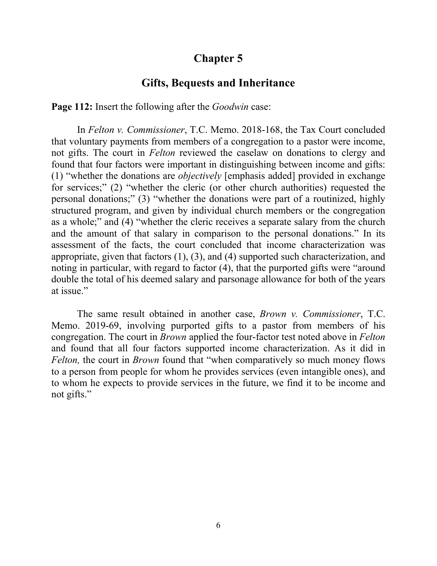#### **Gifts, Bequests and Inheritance**

**Page 112:** Insert the following after the *Goodwin* case:

In *Felton v. Commissioner*, T.C. Memo. 2018-168, the Tax Court concluded that voluntary payments from members of a congregation to a pastor were income, not gifts. The court in *Felton* reviewed the caselaw on donations to clergy and found that four factors were important in distinguishing between income and gifts: (1) "whether the donations are *objectively* [emphasis added] provided in exchange for services;" (2) "whether the cleric (or other church authorities) requested the personal donations;" (3) "whether the donations were part of a routinized, highly structured program, and given by individual church members or the congregation as a whole;" and (4) "whether the cleric receives a separate salary from the church and the amount of that salary in comparison to the personal donations." In its assessment of the facts, the court concluded that income characterization was appropriate, given that factors (1), (3), and (4) supported such characterization, and noting in particular, with regard to factor (4), that the purported gifts were "around double the total of his deemed salary and parsonage allowance for both of the years at issue."

The same result obtained in another case, *Brown v. Commissioner*, T.C. Memo. 2019-69, involving purported gifts to a pastor from members of his congregation. The court in *Brown* applied the four-factor test noted above in *Felton*  and found that all four factors supported income characterization. As it did in *Felton,* the court in *Brown* found that "when comparatively so much money flows to a person from people for whom he provides services (even intangible ones), and to whom he expects to provide services in the future, we find it to be income and not gifts."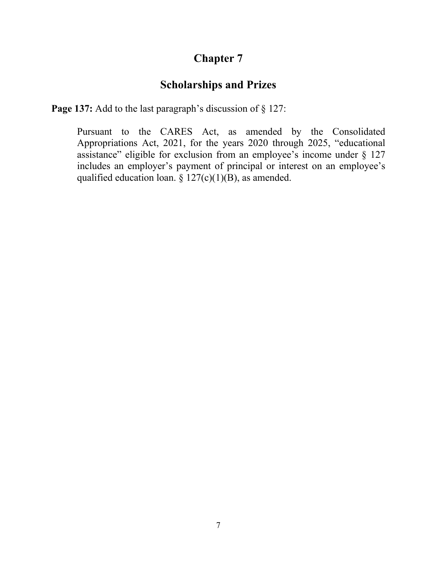## **Scholarships and Prizes**

**Page 137:** Add to the last paragraph's discussion of § 127:

Pursuant to the CARES Act, as amended by the Consolidated Appropriations Act, 2021, for the years 2020 through 2025, "educational assistance" eligible for exclusion from an employee's income under § 127 includes an employer's payment of principal or interest on an employee's qualified education loan.  $\S 127(c)(1)(B)$ , as amended.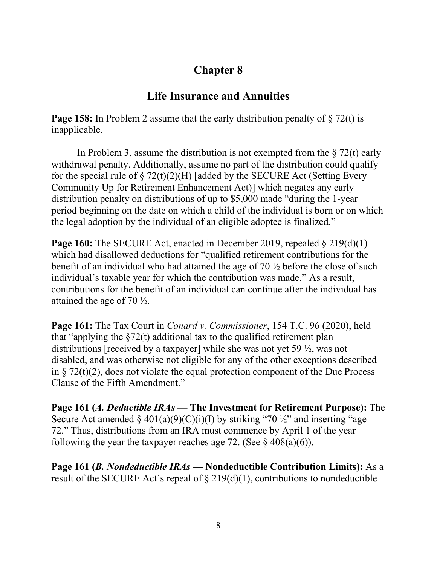### **Life Insurance and Annuities**

**Page 158:** In Problem 2 assume that the early distribution penalty of  $\S 72(t)$  is inapplicable.

In Problem 3, assume the distribution is not exempted from the  $\S 72(t)$  early withdrawal penalty. Additionally, assume no part of the distribution could qualify for the special rule of  $\S 72(t)(2)(H)$  [added by the SECURE Act (Setting Every Community Up for Retirement Enhancement Act)] which negates any early distribution penalty on distributions of up to \$5,000 made "during the 1-year period beginning on the date on which a child of the individual is born or on which the legal adoption by the individual of an eligible adoptee is finalized."

**Page 160:** The SECURE Act, enacted in December 2019, repealed § 219(d)(1) which had disallowed deductions for "qualified retirement contributions for the benefit of an individual who had attained the age of 70 ½ before the close of such individual's taxable year for which the contribution was made." As a result, contributions for the benefit of an individual can continue after the individual has attained the age of 70 ½.

**Page 161:** The Tax Court in *Conard v. Commissioner*, 154 T.C. 96 (2020), held that "applying the  $\S72(t)$  additional tax to the qualified retirement plan distributions [received by a taxpayer] while she was not yet 59 ½, was not disabled, and was otherwise not eligible for any of the other exceptions described in § 72(t)(2), does not violate the equal protection component of the Due Process Clause of the Fifth Amendment."

**Page 161 (***A. Deductible IRAs —* **The Investment for Retirement Purpose):** The Secure Act amended  $\S 401(a)(9)(C)(i)(I)$  by striking "70 ½" and inserting "age 72." Thus, distributions from an IRA must commence by April 1 of the year following the year the taxpayer reaches age 72. (See  $\S$  408(a)(6)).

**Page 161 (***B. Nondeductible IRAs —* **Nondeductible Contribution Limits):** As a result of the SECURE Act's repeal of  $\S 219(d)(1)$ , contributions to nondeductible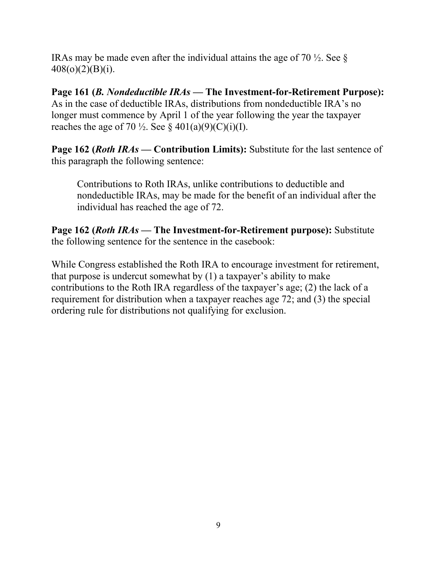IRAs may be made even after the individual attains the age of 70  $\frac{1}{2}$ . See § 408(o)(2)(B)(i).

**Page 161 (***B. Nondeductible IRAs —* **The Investment-for-Retirement Purpose):** As in the case of deductible IRAs, distributions from nondeductible IRA's no longer must commence by April 1 of the year following the year the taxpayer reaches the age of 70  $\frac{1}{2}$ . See § 401(a)(9)(C)(i)(I).

**Page 162 (***Roth IRAs —* **Contribution Limits):** Substitute for the last sentence of this paragraph the following sentence:

Contributions to Roth IRAs, unlike contributions to deductible and nondeductible IRAs, may be made for the benefit of an individual after the individual has reached the age of 72.

**Page 162 (***Roth IRAs —* **The Investment-for-Retirement purpose):** Substitute the following sentence for the sentence in the casebook:

While Congress established the Roth IRA to encourage investment for retirement, that purpose is undercut somewhat by (1) a taxpayer's ability to make contributions to the Roth IRA regardless of the taxpayer's age; (2) the lack of a requirement for distribution when a taxpayer reaches age 72; and (3) the special ordering rule for distributions not qualifying for exclusion.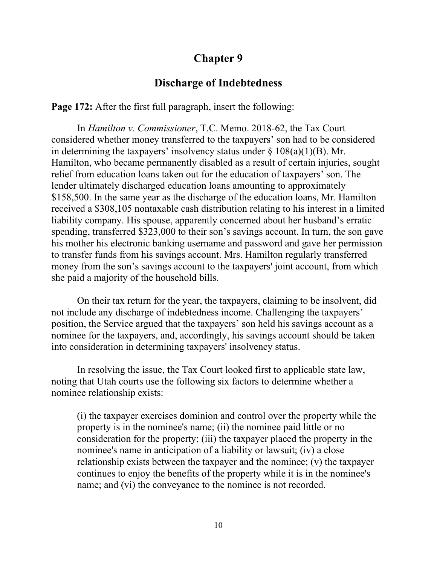#### **Discharge of Indebtedness**

**Page 172:** After the first full paragraph, insert the following:

In *Hamilton v. Commissioner*, T.C. Memo. 2018-62, the Tax Court considered whether money transferred to the taxpayers' son had to be considered in determining the taxpayers' insolvency status under  $\S 108(a)(1)(B)$ . Mr. Hamilton, who became permanently disabled as a result of certain injuries, sought relief from education loans taken out for the education of taxpayers' son. The lender ultimately discharged education loans amounting to approximately \$158,500. In the same year as the discharge of the education loans, Mr. Hamilton received a \$308,105 nontaxable cash distribution relating to his interest in a limited liability company. His spouse, apparently concerned about her husband's erratic spending, transferred \$323,000 to their son's savings account. In turn, the son gave his mother his electronic banking username and password and gave her permission to transfer funds from his savings account. Mrs. Hamilton regularly transferred money from the son's savings account to the taxpayers' joint account, from which she paid a majority of the household bills.

On their tax return for the year, the taxpayers, claiming to be insolvent, did not include any discharge of indebtedness income. Challenging the taxpayers' position, the Service argued that the taxpayers' son held his savings account as a nominee for the taxpayers, and, accordingly, his savings account should be taken into consideration in determining taxpayers' insolvency status.

In resolving the issue, the Tax Court looked first to applicable state law, noting that Utah courts use the following six factors to determine whether a nominee relationship exists:

(i) the taxpayer exercises dominion and control over the property while the property is in the nominee's name; (ii) the nominee paid little or no consideration for the property; (iii) the taxpayer placed the property in the nominee's name in anticipation of a liability or lawsuit; (iv) a close relationship exists between the taxpayer and the nominee; (v) the taxpayer continues to enjoy the benefits of the property while it is in the nominee's name; and (vi) the conveyance to the nominee is not recorded.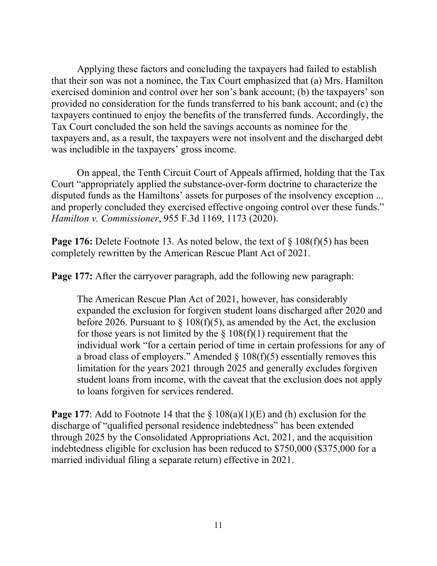Applying these factors and concluding the taxpayers had failed to establish that their son was not a nominee, the Tax Court emphasized that (a) Mrs. Hamilton exercised dominion and control over her son's bank account; (b) the taxpayers' son provided no consideration for the funds transferred to his bank account; and (c) the taxpayers continued to enjoy the benefits of the transferred funds. Accordingly, the Tax Court concluded the son held the savings accounts as nominee for the taxpayers and, as a result, the taxpayers were not insolvent and the discharged debt was includible in the taxpayers' gross income.

On appeal, the Tenth Circuit Court of Appeals affirmed, holding that the Tax Court "appropriately applied the substance-over-form doctrine to characterize the disputed funds as the Hamiltons' assets for purposes of the insolvency exception ... and properly concluded they exercised effective ongoing control over these funds." *Hamilton v. Commissioner*, 955 F.3d 1169, 1173 (2020).

**Page 176:** Delete Footnote 13. As noted below, the text of § 108(f)(5) has been completely rewritten by the American Rescue Plant Act of 2021.

**Page 177:** After the carryover paragraph, add the following new paragraph:

The American Rescue Plan Act of 2021, however, has considerably expanded the exclusion for forgiven student loans discharged after 2020 and before 2026. Pursuant to  $\S$  108(f)(5), as amended by the Act, the exclusion for those years is not limited by the  $\S 108(f)(1)$  requirement that the individual work "for a certain period of time in certain professions for any of a broad class of employers." Amended  $\S 108(f)(5)$  essentially removes this limitation for the years 2021 through 2025 and generally excludes forgiven student loans from income, with the caveat that the exclusion does not apply to loans forgiven for services rendered.

**Page 177:** Add to Footnote 14 that the § 108(a)(1)(E) and (h) exclusion for the discharge of "qualified personal residence indebtedness" has been extended through 2025 by the Consolidated Appropriations Act, 2021, and the acquisition indebtedness eligible for exclusion has been reduced to \$750,000 (\$375,000 for a married individual filing a separate return) effective in 2021.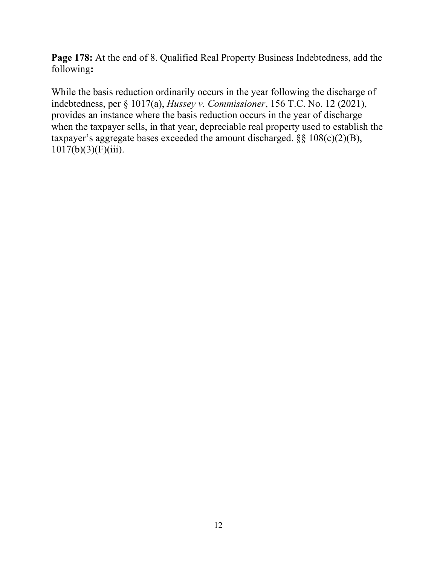Page 178: At the end of 8. Qualified Real Property Business Indebtedness, add the following**:**

While the basis reduction ordinarily occurs in the year following the discharge of indebtedness, per § 1017(a), *Hussey v. Commissioner*, 156 T.C. No. 12 (2021), provides an instance where the basis reduction occurs in the year of discharge when the taxpayer sells, in that year, depreciable real property used to establish the taxpayer's aggregate bases exceeded the amount discharged.  $\S$ § 108(c)(2)(B),  $1017(b)(3)(F)(iii)$ .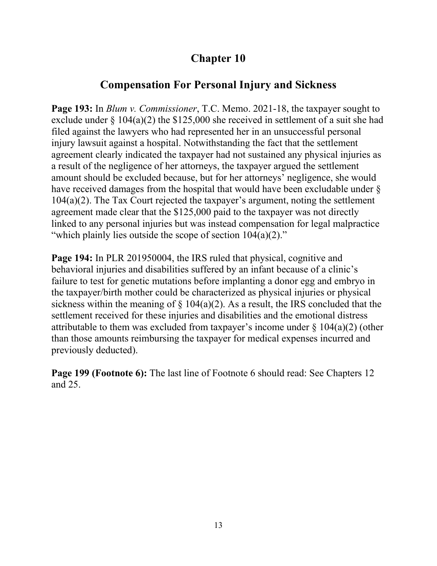## **Compensation For Personal Injury and Sickness**

**Page 193:** In *Blum v. Commissioner*, T.C. Memo. 2021-18, the taxpayer sought to exclude under § 104(a)(2) the \$125,000 she received in settlement of a suit she had filed against the lawyers who had represented her in an unsuccessful personal injury lawsuit against a hospital. Notwithstanding the fact that the settlement agreement clearly indicated the taxpayer had not sustained any physical injuries as a result of the negligence of her attorneys, the taxpayer argued the settlement amount should be excluded because, but for her attorneys' negligence, she would have received damages from the hospital that would have been excludable under § 104(a)(2). The Tax Court rejected the taxpayer's argument, noting the settlement agreement made clear that the \$125,000 paid to the taxpayer was not directly linked to any personal injuries but was instead compensation for legal malpractice "which plainly lies outside the scope of section 104(a)(2)."

**Page 194:** In PLR 201950004, the IRS ruled that physical, cognitive and behavioral injuries and disabilities suffered by an infant because of a clinic's failure to test for genetic mutations before implanting a donor egg and embryo in the taxpayer/birth mother could be characterized as physical injuries or physical sickness within the meaning of  $\S$  104(a)(2). As a result, the IRS concluded that the settlement received for these injuries and disabilities and the emotional distress attributable to them was excluded from taxpayer's income under  $\S 104(a)(2)$  (other than those amounts reimbursing the taxpayer for medical expenses incurred and previously deducted).

**Page 199 (Footnote 6):** The last line of Footnote 6 should read: See Chapters 12 and 25.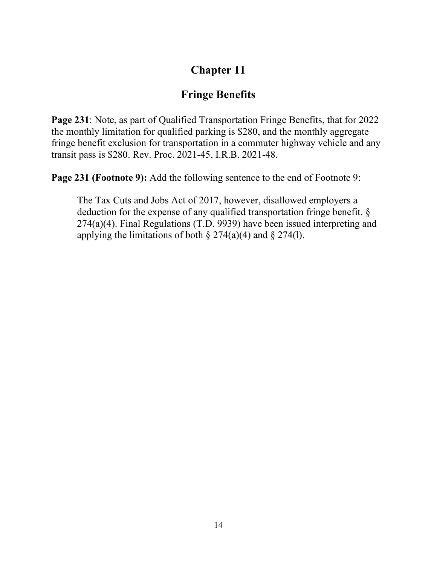## **Fringe Benefits**

**Page 231**: Note, as part of Qualified Transportation Fringe Benefits, that for 2022 the monthly limitation for qualified parking is \$280, and the monthly aggregate fringe benefit exclusion for transportation in a commuter highway vehicle and any transit pass is \$280. Rev. Proc. 2021-45, I.R.B. 2021-48.

**Page 231 (Footnote 9):** Add the following sentence to the end of Footnote 9:

The Tax Cuts and Jobs Act of 2017, however, disallowed employers a deduction for the expense of any qualified transportation fringe benefit. § 274(a)(4). Final Regulations (T.D. 9939) have been issued interpreting and applying the limitations of both  $\S 274(a)(4)$  and  $\S 274(1)$ .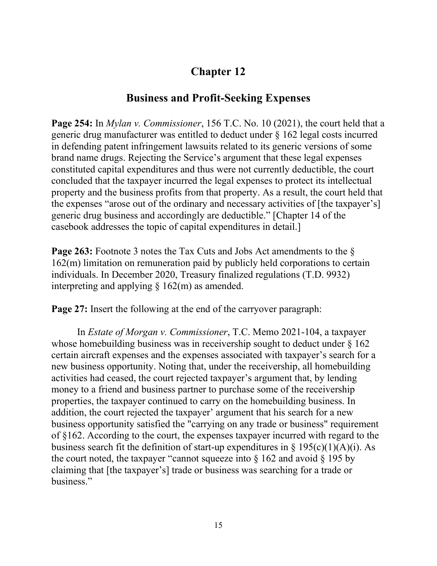### **Business and Profit-Seeking Expenses**

**Page 254:** In *Mylan v. Commissioner*, 156 T.C. No. 10 (2021), the court held that a generic drug manufacturer was entitled to deduct under § 162 legal costs incurred in defending patent infringement lawsuits related to its generic versions of some brand name drugs. Rejecting the Service's argument that these legal expenses constituted capital expenditures and thus were not currently deductible, the court concluded that the taxpayer incurred the legal expenses to protect its intellectual property and the business profits from that property. As a result, the court held that the expenses "arose out of the ordinary and necessary activities of [the taxpayer's] generic drug business and accordingly are deductible." [Chapter 14 of the casebook addresses the topic of capital expenditures in detail.]

**Page 263:** Footnote 3 notes the Tax Cuts and Jobs Act amendments to the  $\delta$ 162(m) limitation on remuneration paid by publicly held corporations to certain individuals. In December 2020, Treasury finalized regulations (T.D. 9932) interpreting and applying  $\S 162(m)$  as amended.

**Page 27:** Insert the following at the end of the carryover paragraph:

In *Estate of Morgan v. Commissioner*, T.C. Memo 2021-104, a taxpayer whose homebuilding business was in receivership sought to deduct under § 162 certain aircraft expenses and the expenses associated with taxpayer's search for a new business opportunity. Noting that, under the receivership, all homebuilding activities had ceased, the court rejected taxpayer's argument that, by lending money to a friend and business partner to purchase some of the receivership properties, the taxpayer continued to carry on the homebuilding business. In addition, the court rejected the taxpayer' argument that his search for a new business opportunity satisfied the "carrying on any trade or business" requirement of §162. According to the court, the expenses taxpayer incurred with regard to the business search fit the definition of start-up expenditures in  $\S$  195(c)(1)(A)(i). As the court noted, the taxpayer "cannot squeeze into  $\S$  162 and avoid  $\S$  195 by claiming that [the taxpayer's] trade or business was searching for a trade or business."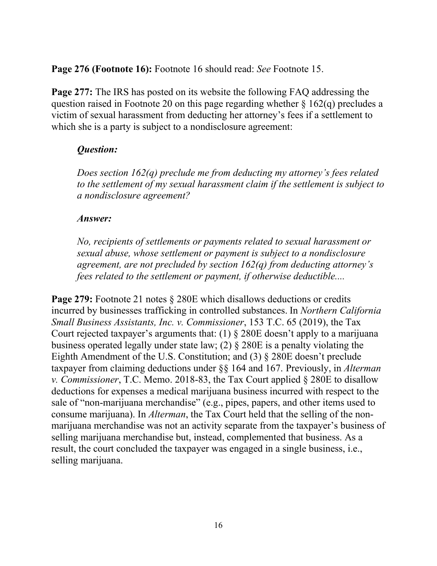**Page 276 (Footnote 16):** Footnote 16 should read: *See* Footnote 15.

**Page 277:** The IRS has posted on its website the following FAQ addressing the question raised in Footnote 20 on this page regarding whether  $\S 162(q)$  precludes a victim of sexual harassment from deducting her attorney's fees if a settlement to which she is a party is subject to a nondisclosure agreement:

#### *Question:*

*Does section 162(q) preclude me from deducting my attorney's fees related to the settlement of my sexual harassment claim if the settlement is subject to a nondisclosure agreement?*

#### *Answer:*

*No, recipients of settlements or payments related to sexual harassment or sexual abuse, whose settlement or payment is subject to a nondisclosure agreement, are not precluded by section 162(q) from deducting attorney's fees related to the settlement or payment, if otherwise deductible....*

**Page 279:** Footnote 21 notes  $\S$  280E which disallows deductions or credits incurred by businesses trafficking in controlled substances. In *Northern California Small Business Assistants, Inc. v. Commissioner*, 153 T.C. 65 (2019), the Tax Court rejected taxpayer's arguments that: (1) § 280E doesn't apply to a marijuana business operated legally under state law; (2) § 280E is a penalty violating the Eighth Amendment of the U.S. Constitution; and (3) § 280E doesn't preclude taxpayer from claiming deductions under §§ 164 and 167. Previously, in *Alterman v. Commissioner*, T.C. Memo. 2018-83, the Tax Court applied § 280E to disallow deductions for expenses a medical marijuana business incurred with respect to the sale of "non-marijuana merchandise" (e.g., pipes, papers, and other items used to consume marijuana). In *Alterman*, the Tax Court held that the selling of the nonmarijuana merchandise was not an activity separate from the taxpayer's business of selling marijuana merchandise but, instead, complemented that business. As a result, the court concluded the taxpayer was engaged in a single business, i.e., selling marijuana.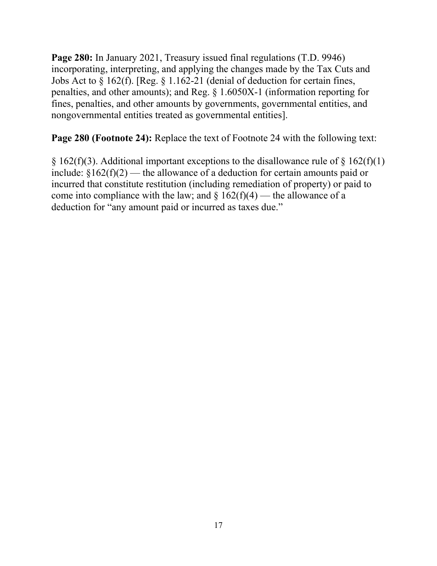**Page 280:** In January 2021, Treasury issued final regulations (T.D. 9946) incorporating, interpreting, and applying the changes made by the Tax Cuts and Jobs Act to § 162(f). [Reg. § 1.162-21 (denial of deduction for certain fines, penalties, and other amounts); and Reg. § 1.6050X-1 (information reporting for fines, penalties, and other amounts by governments, governmental entities, and nongovernmental entities treated as governmental entities].

**Page 280 (Footnote 24):** Replace the text of Footnote 24 with the following text:

§ 162(f)(3). Additional important exceptions to the disallowance rule of § 162(f)(1) include:  $\S162(f)(2)$  — the allowance of a deduction for certain amounts paid or incurred that constitute restitution (including remediation of property) or paid to come into compliance with the law; and  $\S 162(f)(4)$  — the allowance of a deduction for "any amount paid or incurred as taxes due."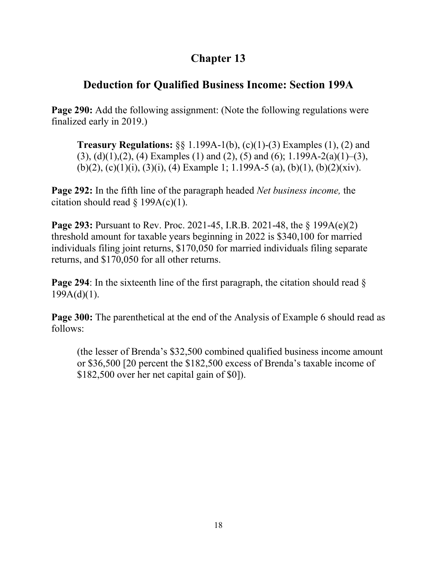## **Deduction for Qualified Business Income: Section 199A**

**Page 290:** Add the following assignment: (Note the following regulations were finalized early in 2019.)

**Treasury Regulations:** §§ 1.199A-1(b), (c)(1)-(3) Examples (1), (2) and  $(3)$ ,  $(d)(1)$ ,  $(2)$ ,  $(4)$  Examples  $(1)$  and  $(2)$ ,  $(5)$  and  $(6)$ ; 1.199A-2(a) $(1)$ – $(3)$ , (b)(2), (c)(1)(i), (3)(i), (4) Example 1; 1.199A-5 (a), (b)(1), (b)(2)(xiv).

**Page 292:** In the fifth line of the paragraph headed *Net business income,* the citation should read  $\S$  199A(c)(1).

**Page 293:** Pursuant to Rev. Proc. 2021-45, I.R.B. 2021-48, the § 199A(e)(2) threshold amount for taxable years beginning in 2022 is \$340,100 for married individuals filing joint returns, \$170,050 for married individuals filing separate returns, and \$170,050 for all other returns.

**Page 294**: In the sixteenth line of the first paragraph, the citation should read §  $199A(d)(1)$ .

Page 300: The parenthetical at the end of the Analysis of Example 6 should read as follows:

(the lesser of Brenda's \$32,500 combined qualified business income amount or \$36,500 [20 percent the \$182,500 excess of Brenda's taxable income of \$182,500 over her net capital gain of \$0]).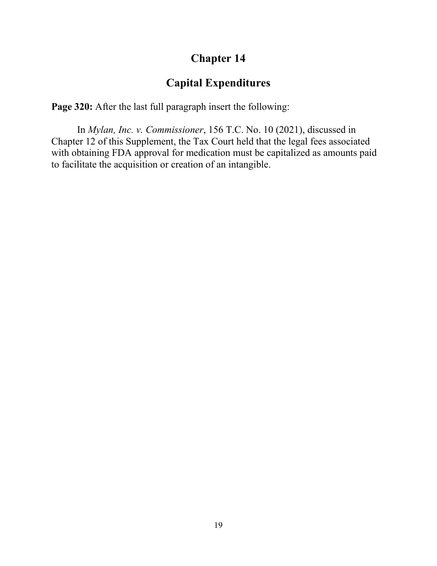### **Capital Expenditures**

**Page 320:** After the last full paragraph insert the following:

In *Mylan, Inc. v. Commissioner*, 156 T.C. No. 10 (2021), discussed in Chapter 12 of this Supplement, the Tax Court held that the legal fees associated with obtaining FDA approval for medication must be capitalized as amounts paid to facilitate the acquisition or creation of an intangible.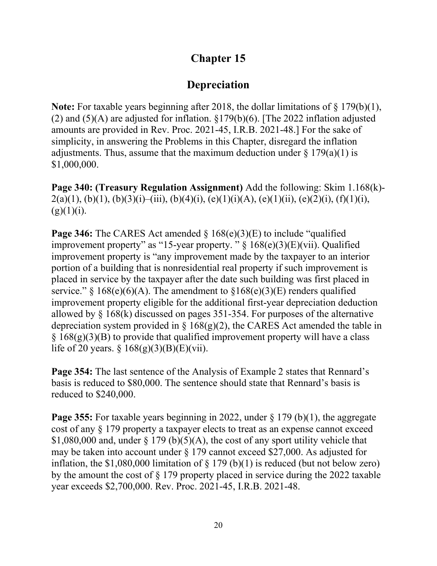## **Depreciation**

**Note:** For taxable years beginning after 2018, the dollar limitations of § 179(b)(1), (2) and (5)(A) are adjusted for inflation. §179(b)(6). [The 2022 inflation adjusted amounts are provided in Rev. Proc. 2021-45, I.R.B. 2021-48.] For the sake of simplicity, in answering the Problems in this Chapter, disregard the inflation adjustments. Thus, assume that the maximum deduction under  $\S 179(a)(1)$  is \$1,000,000.

**Page 340: (Treasury Regulation Assignment)** Add the following: Skim 1.168(k)-  $2(a)(1), (b)(1), (b)(3)(i) - (iii), (b)(4)(i), (e)(1)(i)(A), (e)(1)(ii), (e)(2)(i), (f)(1)(i),$  $(g)(1)(i)$ .

**Page 346:** The CARES Act amended § 168(e)(3)(E) to include "qualified improvement property" as "15-year property. "  $\S$  168(e)(3)(E)(vii). Qualified improvement property is "any improvement made by the taxpayer to an interior portion of a building that is nonresidential real property if such improvement is placed in service by the taxpayer after the date such building was first placed in service." § 168(e)(6)(A). The amendment to §168(e)(3)(E) renders qualified improvement property eligible for the additional first-year depreciation deduction allowed by § 168(k) discussed on pages 351-354. For purposes of the alternative depreciation system provided in  $\S$  168(g)(2), the CARES Act amended the table in  $\S$  168(g)(3)(B) to provide that qualified improvement property will have a class life of 20 years. § 168(g)(3)(B)(E)(vii).

**Page 354:** The last sentence of the Analysis of Example 2 states that Rennard's basis is reduced to \$80,000. The sentence should state that Rennard's basis is reduced to \$240,000.

**Page 355:** For taxable years beginning in 2022, under  $\S$  179 (b)(1), the aggregate cost of any § 179 property a taxpayer elects to treat as an expense cannot exceed \$1,080,000 and, under  $\S 179 (b)(5)(A)$ , the cost of any sport utility vehicle that may be taken into account under § 179 cannot exceed \$27,000. As adjusted for inflation, the \$1,080,000 limitation of  $\S 179 (b)(1)$  is reduced (but not below zero) by the amount the cost of § 179 property placed in service during the 2022 taxable year exceeds \$2,700,000. Rev. Proc. 2021-45, I.R.B. 2021-48.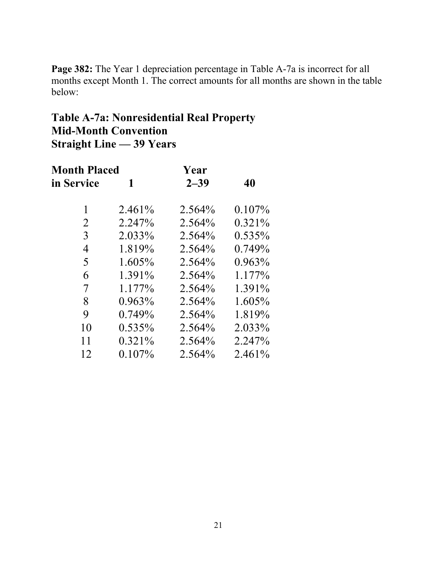**Page 382:** The Year 1 depreciation percentage in Table A-7a is incorrect for all months except Month 1. The correct amounts for all months are shown in the table below:

## **Table A-7a: Nonresidential Real Property Mid-Month Convention Straight Line — 39 Years**

| <b>Month Placed</b> |           | Year     |           |
|---------------------|-----------|----------|-----------|
| in Service          | 1         | $2 - 39$ | 40        |
| 1                   | 2.461%    | 2.564%   | $0.107\%$ |
| 2                   | 2.247%    | 2.564%   | $0.321\%$ |
| 3                   | 2.033%    | 2.564%   | $0.535\%$ |
| 4                   | 1.819%    | 2.564%   | 0.749%    |
| 5                   | 1.605%    | 2.564%   | $0.963\%$ |
| 6                   | 1.391%    | 2.564%   | $1.177\%$ |
| 7                   | 1.177%    | 2.564%   | 1.391%    |
| 8                   | $0.963\%$ | 2.564%   | 1.605%    |
| 9                   | 0.749%    | 2.564%   | 1.819%    |
| 10                  | $0.535\%$ | 2.564%   | 2.033%    |
| 11                  | $0.321\%$ | 2.564%   | 2.247%    |
| 12                  | $0.107\%$ | 2.564%   | 2.461%    |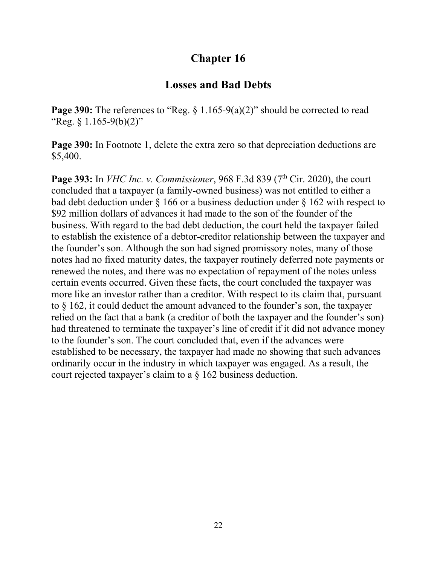### **Losses and Bad Debts**

**Page 390:** The references to "Reg. § 1.165-9(a)(2)" should be corrected to read "Reg.  $\{1.165-9(b)(2)\}$ "

**Page 390:** In Footnote 1, delete the extra zero so that depreciation deductions are \$5,400.

**Page 393:** In *VHC Inc. v. Commissioner*, 968 F.3d 839 (7<sup>th</sup> Cir. 2020), the court concluded that a taxpayer (a family-owned business) was not entitled to either a bad debt deduction under § 166 or a business deduction under § 162 with respect to \$92 million dollars of advances it had made to the son of the founder of the business. With regard to the bad debt deduction, the court held the taxpayer failed to establish the existence of a debtor-creditor relationship between the taxpayer and the founder's son. Although the son had signed promissory notes, many of those notes had no fixed maturity dates, the taxpayer routinely deferred note payments or renewed the notes, and there was no expectation of repayment of the notes unless certain events occurred. Given these facts, the court concluded the taxpayer was more like an investor rather than a creditor. With respect to its claim that, pursuant to § 162, it could deduct the amount advanced to the founder's son, the taxpayer relied on the fact that a bank (a creditor of both the taxpayer and the founder's son) had threatened to terminate the taxpayer's line of credit if it did not advance money to the founder's son. The court concluded that, even if the advances were established to be necessary, the taxpayer had made no showing that such advances ordinarily occur in the industry in which taxpayer was engaged. As a result, the court rejected taxpayer's claim to a § 162 business deduction.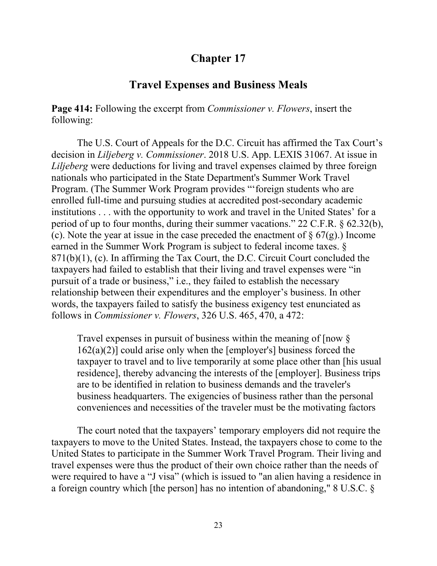### **Travel Expenses and Business Meals**

**Page 414:** Following the excerpt from *Commissioner v. Flowers*, insert the following:

The U.S. Court of Appeals for the D.C. Circuit has affirmed the Tax Court's decision in *Liljeberg v. Commissioner*. 2018 U.S. App. LEXIS 31067. At issue in *Liljeberg* were deductions for living and travel expenses claimed by three foreign nationals who participated in the State Department's Summer Work Travel Program. (The Summer Work Program provides "'foreign students who are enrolled full-time and pursuing studies at accredited post-secondary academic institutions . . . with the opportunity to work and travel in the United States' for a period of up to four months, during their summer vacations." 22 C.F.R. § 62.32(b), (c). Note the year at issue in the case preceded the enactment of  $\S 67(g)$ . Income earned in the Summer Work Program is subject to federal income taxes. § 871(b)(1), (c). In affirming the Tax Court, the D.C. Circuit Court concluded the taxpayers had failed to establish that their living and travel expenses were "in pursuit of a trade or business," i.e., they failed to establish the necessary relationship between their expenditures and the employer's business. In other words, the taxpayers failed to satisfy the business exigency test enunciated as follows in *Commissioner v. Flowers*, 326 U.S. 465, 470, a 472:

Travel expenses in pursuit of business within the meaning of [now §  $162(a)(2)$ ] could arise only when the [employer's] business forced the taxpayer to travel and to live temporarily at some place other than [his usual residence], thereby advancing the interests of the [employer]. Business trips are to be identified in relation to business demands and the traveler's business headquarters. The exigencies of business rather than the personal conveniences and necessities of the traveler must be the motivating factors

The court noted that the taxpayers' temporary employers did not require the taxpayers to move to the United States. Instead, the taxpayers chose to come to the United States to participate in the Summer Work Travel Program. Their living and travel expenses were thus the product of their own choice rather than the needs of were required to have a "J visa" (which is issued to "an alien having a residence in a foreign country which [the person] has no intention of abandoning," 8 U.S.C. §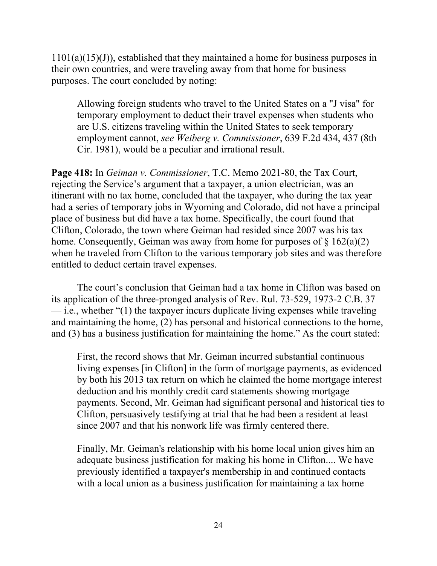$1101(a)(15)(J)$ , established that they maintained a home for business purposes in their own countries, and were traveling away from that home for business purposes. The court concluded by noting:

Allowing foreign students who travel to the United States on a "J visa" for temporary employment to deduct their travel expenses when students who are U.S. citizens traveling within the United States to seek temporary employment cannot, *see Weiberg v. Commissioner*, 639 F.2d 434, 437 (8th Cir. 1981), would be a peculiar and irrational result.

**Page 418:** In *Geiman v. Commissioner*, T.C. Memo 2021-80, the Tax Court, rejecting the Service's argument that a taxpayer, a union electrician, was an itinerant with no tax home, concluded that the taxpayer, who during the tax year had a series of temporary jobs in Wyoming and Colorado, did not have a principal place of business but did have a tax home. Specifically, the court found that Clifton, Colorado, the town where Geiman had resided since 2007 was his tax home. Consequently, Geiman was away from home for purposes of  $\S 162(a)(2)$ when he traveled from Clifton to the various temporary job sites and was therefore entitled to deduct certain travel expenses.

The court's conclusion that Geiman had a tax home in Clifton was based on its application of the three-pronged analysis of Rev. Rul. 73-529, 1973-2 C.B. 37  $\frac{d}{dt}$  i.e., whether "(1) the taxpayer incurs duplicate living expenses while traveling and maintaining the home, (2) has personal and historical connections to the home, and (3) has a business justification for maintaining the home." As the court stated:

First, the record shows that Mr. Geiman incurred substantial continuous living expenses [in Clifton] in the form of mortgage payments, as evidenced by both his 2013 tax return on which he claimed the home mortgage interest deduction and his monthly credit card statements showing mortgage payments. Second, Mr. Geiman had significant personal and historical ties to Clifton, persuasively testifying at trial that he had been a resident at least since 2007 and that his nonwork life was firmly centered there.

Finally, Mr. Geiman's relationship with his home local union gives him an adequate business justification for making his home in Clifton.... We have previously identified a taxpayer's membership in and continued contacts with a local union as a business justification for maintaining a tax home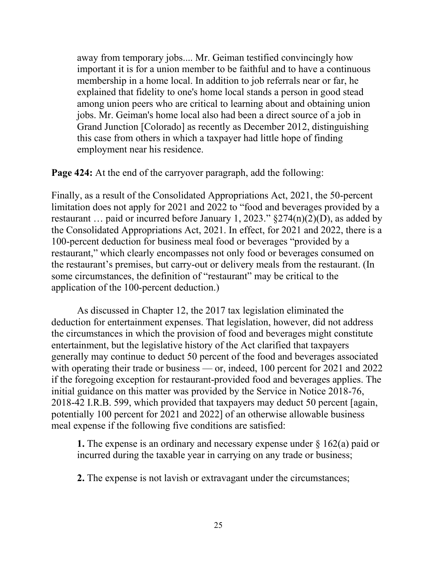away from temporary jobs.... Mr. Geiman testified convincingly how important it is for a union member to be faithful and to have a continuous membership in a home local. In addition to job referrals near or far, he explained that fidelity to one's home local stands a person in good stead among union peers who are critical to learning about and obtaining union jobs. Mr. Geiman's home local also had been a direct source of a job in Grand Junction [Colorado] as recently as December 2012, distinguishing this case from others in which a taxpayer had little hope of finding employment near his residence.

**Page 424:** At the end of the carryover paragraph, add the following:

Finally, as a result of the Consolidated Appropriations Act, 2021, the 50-percent limitation does not apply for 2021 and 2022 to "food and beverages provided by a restaurant ... paid or incurred before January 1, 2023."  $\S 274(n)(2)(D)$ , as added by the Consolidated Appropriations Act, 2021. In effect, for 2021 and 2022, there is a 100-percent deduction for business meal food or beverages "provided by a restaurant," which clearly encompasses not only food or beverages consumed on the restaurant's premises, but carry-out or delivery meals from the restaurant. (In some circumstances, the definition of "restaurant" may be critical to the application of the 100-percent deduction.)

As discussed in Chapter 12, the 2017 tax legislation eliminated the deduction for entertainment expenses. That legislation, however, did not address the circumstances in which the provision of food and beverages might constitute entertainment, but the legislative history of the Act clarified that taxpayers generally may continue to deduct 50 percent of the food and beverages associated with operating their trade or business — or, indeed, 100 percent for 2021 and 2022 if the foregoing exception for restaurant-provided food and beverages applies. The initial guidance on this matter was provided by the Service in Notice 2018-76, 2018-42 I.R.B. 599, which provided that taxpayers may deduct 50 percent [again, potentially 100 percent for 2021 and 2022] of an otherwise allowable business meal expense if the following five conditions are satisfied:

**1.** The expense is an ordinary and necessary expense under § 162(a) paid or incurred during the taxable year in carrying on any trade or business;

**2.** The expense is not lavish or extravagant under the circumstances;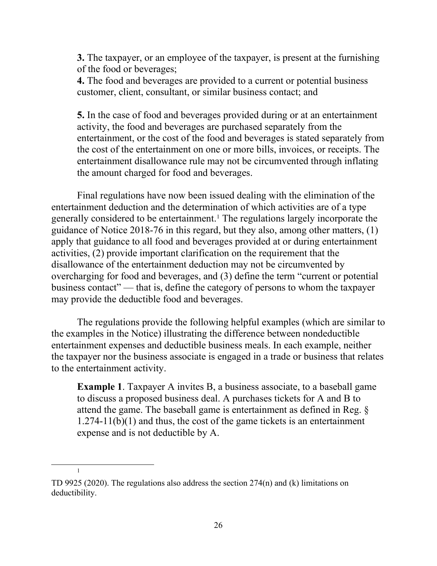**3.** The taxpayer, or an employee of the taxpayer, is present at the furnishing of the food or beverages;

**4.** The food and beverages are provided to a current or potential business customer, client, consultant, or similar business contact; and

**5.** In the case of food and beverages provided during or at an entertainment activity, the food and beverages are purchased separately from the entertainment, or the cost of the food and beverages is stated separately from the cost of the entertainment on one or more bills, invoices, or receipts. The entertainment disallowance rule may not be circumvented through inflating the amount charged for food and beverages.

Final regulations have now been issued dealing with the elimination of the entertainment deduction and the determination of which activities are of a type generally considered to be entertainment.[1](#page-25-0) The regulations largely incorporate the guidance of Notice 2018-76 in this regard, but they also, among other matters, (1) apply that guidance to all food and beverages provided at or during entertainment activities, (2) provide important clarification on the requirement that the disallowance of the entertainment deduction may not be circumvented by overcharging for food and beverages, and (3) define the term "current or potential business contact" — that is, define the category of persons to whom the taxpayer may provide the deductible food and beverages.

The regulations provide the following helpful examples (which are similar to the examples in the Notice) illustrating the difference between nondeductible entertainment expenses and deductible business meals. In each example, neither the taxpayer nor the business associate is engaged in a trade or business that relates to the entertainment activity.

**Example 1**. Taxpayer A invites B, a business associate, to a baseball game to discuss a proposed business deal. A purchases tickets for A and B to attend the game. The baseball game is entertainment as defined in Reg. § 1.274-11(b)(1) and thus, the cost of the game tickets is an entertainment expense and is not deductible by A.

1

<span id="page-25-0"></span>TD 9925 (2020). The regulations also address the section 274(n) and (k) limitations on deductibility.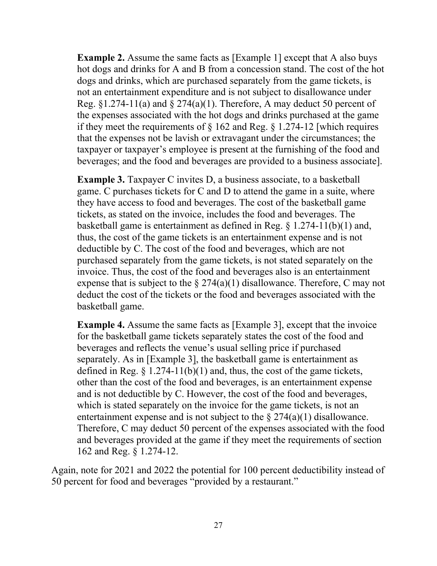**Example 2.** Assume the same facts as [Example 1] except that A also buys hot dogs and drinks for A and B from a concession stand. The cost of the hot dogs and drinks, which are purchased separately from the game tickets, is not an entertainment expenditure and is not subject to disallowance under Reg.  $\S 1.274-11(a)$  and  $\S 274(a)(1)$ . Therefore, A may deduct 50 percent of the expenses associated with the hot dogs and drinks purchased at the game if they meet the requirements of  $\S$  162 and Reg.  $\S$  1.274-12 [which requires that the expenses not be lavish or extravagant under the circumstances; the taxpayer or taxpayer's employee is present at the furnishing of the food and beverages; and the food and beverages are provided to a business associate].

**Example 3.** Taxpayer C invites D, a business associate, to a basketball game. C purchases tickets for C and D to attend the game in a suite, where they have access to food and beverages. The cost of the basketball game tickets, as stated on the invoice, includes the food and beverages. The basketball game is entertainment as defined in Reg. § 1.274-11(b)(1) and, thus, the cost of the game tickets is an entertainment expense and is not deductible by C. The cost of the food and beverages, which are not purchased separately from the game tickets, is not stated separately on the invoice. Thus, the cost of the food and beverages also is an entertainment expense that is subject to the  $\S 274(a)(1)$  disallowance. Therefore, C may not deduct the cost of the tickets or the food and beverages associated with the basketball game.

**Example 4.** Assume the same facts as [Example 3], except that the invoice for the basketball game tickets separately states the cost of the food and beverages and reflects the venue's usual selling price if purchased separately. As in [Example 3], the basketball game is entertainment as defined in Reg.  $\S 1.274-11(b)(1)$  and, thus, the cost of the game tickets, other than the cost of the food and beverages, is an entertainment expense and is not deductible by C. However, the cost of the food and beverages, which is stated separately on the invoice for the game tickets, is not an entertainment expense and is not subject to the  $\S 274(a)(1)$  disallowance. Therefore, C may deduct 50 percent of the expenses associated with the food and beverages provided at the game if they meet the requirements of section 162 and Reg. § 1.274-12.

Again, note for 2021 and 2022 the potential for 100 percent deductibility instead of 50 percent for food and beverages "provided by a restaurant."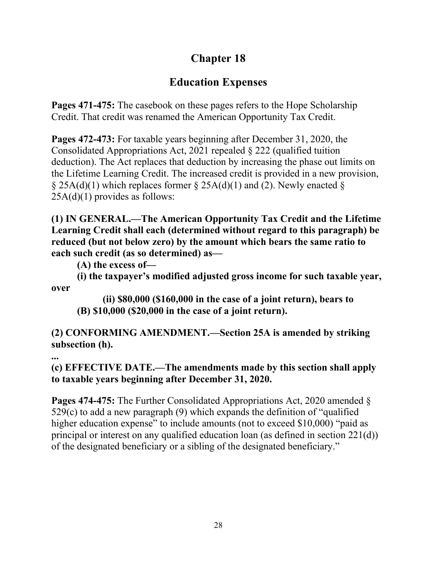## **Education Expenses**

**Pages 471-475:** The casebook on these pages refers to the Hope Scholarship Credit. That credit was renamed the American Opportunity Tax Credit.

**Pages 472-473:** For taxable years beginning after December 31, 2020, the Consolidated Appropriations Act, 2021 repealed § 222 (qualified tuition deduction). The Act replaces that deduction by increasing the phase out limits on the Lifetime Learning Credit. The increased credit is provided in a new provision, § 25A(d)(1) which replaces former § 25A(d)(1) and (2). Newly enacted §  $25A(d)(1)$  provides as follows:

**(1) IN GENERAL.—The American Opportunity Tax Credit and the Lifetime Learning Credit shall each (determined without regard to this paragraph) be reduced (but not below zero) by the amount which bears the same ratio to each such credit (as so determined) as—**

**(A) the excess of—**

**(i) the taxpayer's modified adjusted gross income for such taxable year, over** 

**(ii) \$80,000 (\$160,000 in the case of a joint return), bears to (B) \$10,000 (\$20,000 in the case of a joint return).**

**(2) CONFORMING AMENDMENT.—Section 25A is amended by striking subsection (h).**

**...**

**(c) EFFECTIVE DATE.—The amendments made by this section shall apply to taxable years beginning after December 31, 2020.** 

**Pages 474-475:** The Further Consolidated Appropriations Act, 2020 amended § 529(c) to add a new paragraph (9) which expands the definition of "qualified higher education expense" to include amounts (not to exceed \$10,000) "paid as principal or interest on any qualified education loan (as defined in section 221(d)) of the designated beneficiary or a sibling of the designated beneficiary."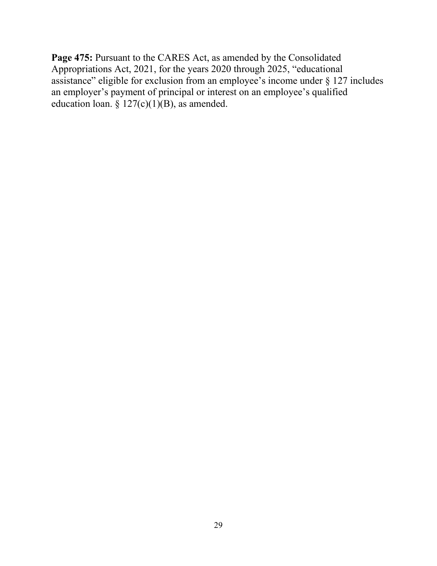**Page 475:** Pursuant to the CARES Act, as amended by the Consolidated Appropriations Act, 2021, for the years 2020 through 2025, "educational assistance" eligible for exclusion from an employee's income under § 127 includes an employer's payment of principal or interest on an employee's qualified education loan. §  $127(c)(1)(B)$ , as amended.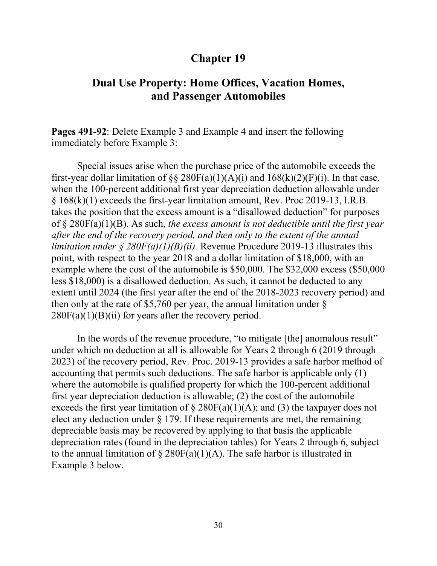### **Dual Use Property: Home Offices, Vacation Homes, and Passenger Automobiles**

**Pages 491-92**: Delete Example 3 and Example 4 and insert the following immediately before Example 3:

Special issues arise when the purchase price of the automobile exceeds the first-year dollar limitation of §§ 280F(a)(1)(A)(i) and  $168(k)(2)(F)(i)$ . In that case, when the 100-percent additional first year depreciation deduction allowable under § 168(k)(1) exceeds the first-year limitation amount, Rev. Proc 2019-13, I.R.B. takes the position that the excess amount is a "disallowed deduction" for purposes of § 280F(a)(1)(B). As such, *the excess amount is not deductible until the first year after the end of the recovery period, and then only to the extent of the annual limitation under § 280F(a)(1)(B)(ii).* Revenue Procedure 2019-13 illustrates this point, with respect to the year 2018 and a dollar limitation of \$18,000, with an example where the cost of the automobile is \$50,000. The \$32,000 excess (\$50,000 less \$18,000) is a disallowed deduction. As such, it cannot be deducted to any extent until 2024 (the first year after the end of the 2018-2023 recovery period) and then only at the rate of \$5,760 per year, the annual limitation under  $\S$  $280F(a)(1)(B)(ii)$  for years after the recovery period.

In the words of the revenue procedure, "to mitigate [the] anomalous result" under which no deduction at all is allowable for Years 2 through 6 (2019 through 2023) of the recovery period, Rev. Proc. 2019-13 provides a safe harbor method of accounting that permits such deductions. The safe harbor is applicable only (1) where the automobile is qualified property for which the 100-percent additional first year depreciation deduction is allowable; (2) the cost of the automobile exceeds the first year limitation of  $\S$  280F(a)(1)(A); and (3) the taxpayer does not elect any deduction under  $\S 179$ . If these requirements are met, the remaining depreciable basis may be recovered by applying to that basis the applicable depreciation rates (found in the depreciation tables) for Years 2 through 6, subject to the annual limitation of  $\S 280F(a)(1)(A)$ . The safe harbor is illustrated in Example 3 below.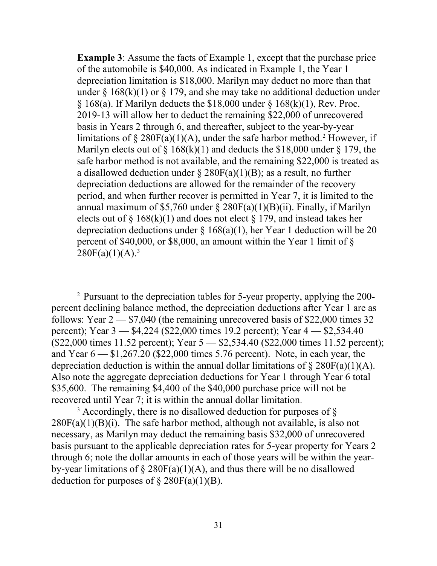**Example 3:** Assume the facts of Example 1, except that the purchase price of the automobile is \$40,000. As indicated in Example 1, the Year 1 depreciation limitation is \$18,000. Marilyn may deduct no more than that under  $\S 168(k)(1)$  or  $\S 179$ , and she may take no additional deduction under  $§ 168(a)$ . If Marilyn deducts the  $\$18,000$  under  $§ 168(k)(1)$ , Rev. Proc. 2019-13 will allow her to deduct the remaining \$22,000 of unrecovered basis in Years 2 through 6, and thereafter, subject to the year-by-year limitations of  $\S 280F(a)(1)(A)$  $\S 280F(a)(1)(A)$  $\S 280F(a)(1)(A)$ , under the safe harbor method.<sup>2</sup> However, if Marilyn elects out of  $\S$  168(k)(1) and deducts the \$18,000 under  $\S$  179, the safe harbor method is not available, and the remaining \$22,000 is treated as a disallowed deduction under  $\S 280F(a)(1)(B)$ ; as a result, no further depreciation deductions are allowed for the remainder of the recovery period, and when further recover is permitted in Year 7, it is limited to the annual maximum of \$5,760 under  $\S 280F(a)(1)(B)(ii)$ . Finally, if Marilyn elects out of § 168(k)(1) and does not elect § 179, and instead takes her depreciation deductions under  $\S$  168(a)(1), her Year 1 deduction will be 20 percent of \$40,000, or \$8,000, an amount within the Year 1 limit of §  $280F(a)(1)(A).<sup>3</sup>$  $280F(a)(1)(A).<sup>3</sup>$  $280F(a)(1)(A).<sup>3</sup>$ 

<span id="page-30-0"></span><sup>2</sup> Pursuant to the depreciation tables for 5-year property, applying the 200 percent declining balance method, the depreciation deductions after Year 1 are as follows: Year  $2 - $7,040$  (the remaining unrecovered basis of \$22,000 times 32 percent); Year 3 — \$4,224 (\$22,000 times 19.2 percent); Year 4 — \$2,534.40 (\$22,000 times 11.52 percent); Year 5 — \$2,534.40 (\$22,000 times 11.52 percent); and Year  $6 - $1,267.20$  (\$22,000 times 5.76 percent). Note, in each year, the depreciation deduction is within the annual dollar limitations of  $\S 280F(a)(1)(A)$ . Also note the aggregate depreciation deductions for Year 1 through Year 6 total \$35,600. The remaining \$4,400 of the \$40,000 purchase price will not be recovered until Year 7; it is within the annual dollar limitation.

<span id="page-30-1"></span> $3$  Accordingly, there is no disallowed deduction for purposes of  $\S$  $280F(a)(1)(B)(i)$ . The safe harbor method, although not available, is also not necessary, as Marilyn may deduct the remaining basis \$32,000 of unrecovered basis pursuant to the applicable depreciation rates for 5-year property for Years 2 through 6; note the dollar amounts in each of those years will be within the yearby-year limitations of  $\S 280F(a)(1)(A)$ , and thus there will be no disallowed deduction for purposes of  $\S 280F(a)(1)(B)$ .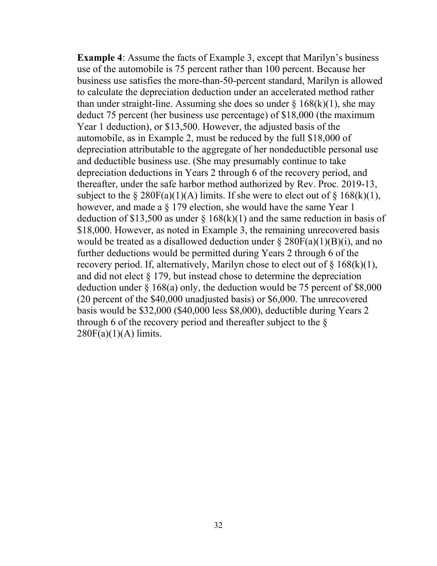**Example 4**: Assume the facts of Example 3, except that Marilyn's business use of the automobile is 75 percent rather than 100 percent. Because her business use satisfies the more-than-50-percent standard, Marilyn is allowed to calculate the depreciation deduction under an accelerated method rather than under straight-line. Assuming she does so under  $\S$  168(k)(1), she may deduct 75 percent (her business use percentage) of \$18,000 (the maximum Year 1 deduction), or \$13,500. However, the adjusted basis of the automobile, as in Example 2, must be reduced by the full \$18,000 of depreciation attributable to the aggregate of her nondeductible personal use and deductible business use. (She may presumably continue to take depreciation deductions in Years 2 through 6 of the recovery period, and thereafter, under the safe harbor method authorized by Rev. Proc. 2019-13, subject to the  $\S 280F(a)(1)(A)$  limits. If she were to elect out of  $\S 168(k)(1)$ , however, and made a § 179 election, she would have the same Year 1 deduction of \$13,500 as under  $\S$  168(k)(1) and the same reduction in basis of \$18,000. However, as noted in Example 3, the remaining unrecovered basis would be treated as a disallowed deduction under  $\S 280F(a)(1)(B)(i)$ , and no further deductions would be permitted during Years 2 through 6 of the recovery period. If, alternatively, Marilyn chose to elect out of  $\S 168(k)(1)$ , and did not elect § 179, but instead chose to determine the depreciation deduction under § 168(a) only, the deduction would be 75 percent of \$8,000 (20 percent of the \$40,000 unadjusted basis) or \$6,000. The unrecovered basis would be \$32,000 (\$40,000 less \$8,000), deductible during Years 2 through 6 of the recovery period and thereafter subject to the §  $280F(a)(1)(A)$  limits.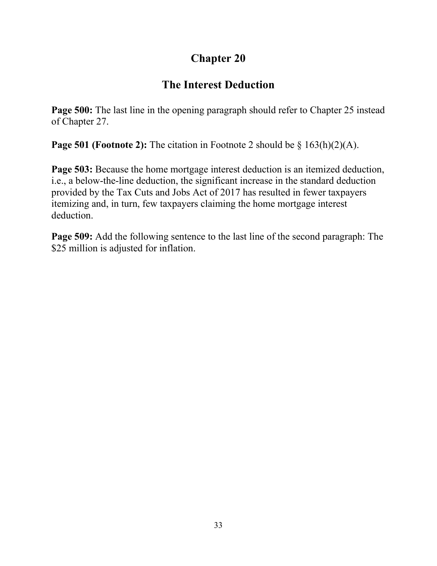## **The Interest Deduction**

**Page 500:** The last line in the opening paragraph should refer to Chapter 25 instead of Chapter 27.

**Page 501 (Footnote 2):** The citation in Footnote 2 should be § 163(h)(2)(A).

**Page 503:** Because the home mortgage interest deduction is an itemized deduction, i.e., a below-the-line deduction, the significant increase in the standard deduction provided by the Tax Cuts and Jobs Act of 2017 has resulted in fewer taxpayers itemizing and, in turn, few taxpayers claiming the home mortgage interest deduction.

**Page 509:** Add the following sentence to the last line of the second paragraph: The \$25 million is adjusted for inflation.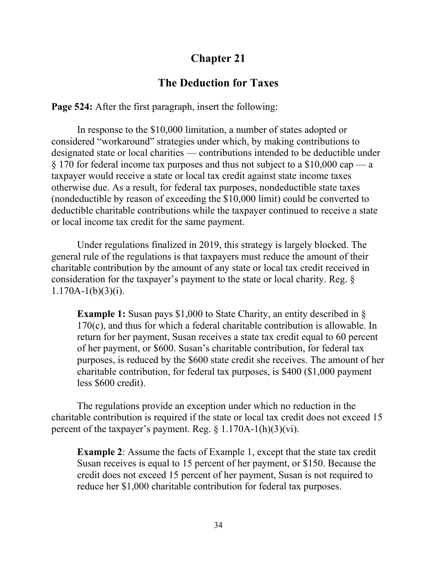### **The Deduction for Taxes**

**Page 524:** After the first paragraph, insert the following:

In response to the \$10,000 limitation, a number of states adopted or considered "workaround" strategies under which, by making contributions to designated state or local charities — contributions intended to be deductible under § 170 for federal income tax purposes and thus not subject to a \$10,000 cap — a taxpayer would receive a state or local tax credit against state income taxes otherwise due. As a result, for federal tax purposes, nondeductible state taxes (nondeductible by reason of exceeding the \$10,000 limit) could be converted to deductible charitable contributions while the taxpayer continued to receive a state or local income tax credit for the same payment.

Under regulations finalized in 2019, this strategy is largely blocked. The general rule of the regulations is that taxpayers must reduce the amount of their charitable contribution by the amount of any state or local tax credit received in consideration for the taxpayer's payment to the state or local charity. Reg. §  $1.170A-1(b)(3)(i)$ .

**Example 1:** Susan pays \$1,000 to State Charity, an entity described in § 170(c), and thus for which a federal charitable contribution is allowable. In return for her payment, Susan receives a state tax credit equal to 60 percent of her payment, or \$600. Susan's charitable contribution, for federal tax purposes, is reduced by the \$600 state credit she receives. The amount of her charitable contribution, for federal tax purposes, is \$400 (\$1,000 payment less \$600 credit).

The regulations provide an exception under which no reduction in the charitable contribution is required if the state or local tax credit does not exceed 15 percent of the taxpayer's payment. Reg.  $\S$  1.170A-1(h)(3)(vi).

**Example 2**: Assume the facts of Example 1, except that the state tax credit Susan receives is equal to 15 percent of her payment, or \$150. Because the credit does not exceed 15 percent of her payment, Susan is not required to reduce her \$1,000 charitable contribution for federal tax purposes.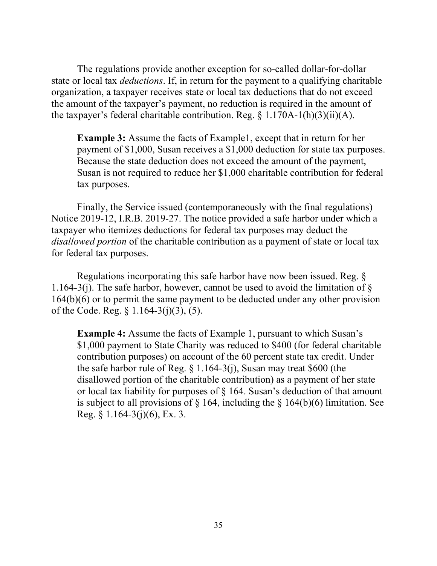The regulations provide another exception for so-called dollar-for-dollar state or local tax *deductions*. If, in return for the payment to a qualifying charitable organization, a taxpayer receives state or local tax deductions that do not exceed the amount of the taxpayer's payment, no reduction is required in the amount of the taxpayer's federal charitable contribution. Reg.  $\S$  1.170A-1(h)(3)(ii)(A).

**Example 3:** Assume the facts of Example1, except that in return for her payment of \$1,000, Susan receives a \$1,000 deduction for state tax purposes. Because the state deduction does not exceed the amount of the payment, Susan is not required to reduce her \$1,000 charitable contribution for federal tax purposes.

Finally, the Service issued (contemporaneously with the final regulations) Notice 2019-12, I.R.B. 2019-27. The notice provided a safe harbor under which a taxpayer who itemizes deductions for federal tax purposes may deduct the *disallowed portion* of the charitable contribution as a payment of state or local tax for federal tax purposes.

Regulations incorporating this safe harbor have now been issued. Reg. § 1.164-3(j). The safe harbor, however, cannot be used to avoid the limitation of  $\S$ 164(b)(6) or to permit the same payment to be deducted under any other provision of the Code. Reg. § 1.164-3(j)(3), (5).

**Example 4:** Assume the facts of Example 1, pursuant to which Susan's \$1,000 payment to State Charity was reduced to \$400 (for federal charitable contribution purposes) on account of the 60 percent state tax credit. Under the safe harbor rule of Reg. § 1.164-3(j), Susan may treat \$600 (the disallowed portion of the charitable contribution) as a payment of her state or local tax liability for purposes of § 164. Susan's deduction of that amount is subject to all provisions of  $\S$  164, including the  $\S$  164(b)(6) limitation. See Reg. § 1.164-3(j)(6), Ex. 3.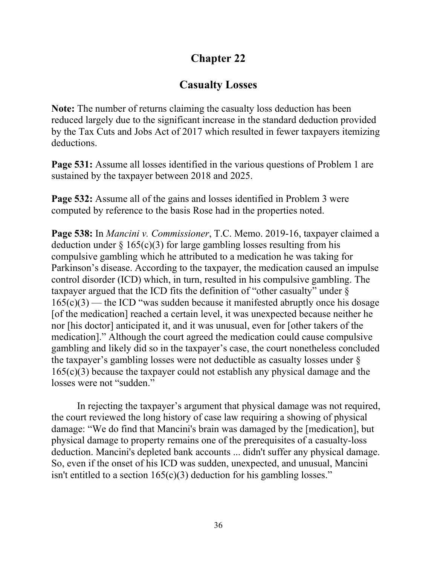## **Casualty Losses**

**Note:** The number of returns claiming the casualty loss deduction has been reduced largely due to the significant increase in the standard deduction provided by the Tax Cuts and Jobs Act of 2017 which resulted in fewer taxpayers itemizing deductions.

**Page 531:** Assume all losses identified in the various questions of Problem 1 are sustained by the taxpayer between 2018 and 2025.

**Page 532:** Assume all of the gains and losses identified in Problem 3 were computed by reference to the basis Rose had in the properties noted.

**Page 538:** In *Mancini v. Commissioner*, T.C. Memo. 2019-16, taxpayer claimed a deduction under  $\S 165(c)(3)$  for large gambling losses resulting from his compulsive gambling which he attributed to a medication he was taking for Parkinson's disease. According to the taxpayer, the medication caused an impulse control disorder (ICD) which, in turn, resulted in his compulsive gambling. The taxpayer argued that the ICD fits the definition of "other casualty" under §  $165(c)(3)$  — the ICD "was sudden because it manifested abruptly once his dosage [of the medication] reached a certain level, it was unexpected because neither he nor [his doctor] anticipated it, and it was unusual, even for [other takers of the medication]." Although the court agreed the medication could cause compulsive gambling and likely did so in the taxpayer's case, the court nonetheless concluded the taxpayer's gambling losses were not deductible as casualty losses under § 165(c)(3) because the taxpayer could not establish any physical damage and the losses were not "sudden."

In rejecting the taxpayer's argument that physical damage was not required, the court reviewed the long history of case law requiring a showing of physical damage: "We do find that Mancini's brain was damaged by the [medication], but physical damage to property remains one of the prerequisites of a casualty-loss deduction. Mancini's depleted bank accounts ... didn't suffer any physical damage. So, even if the onset of his ICD was sudden, unexpected, and unusual, Mancini isn't entitled to a section  $165(c)(3)$  deduction for his gambling losses."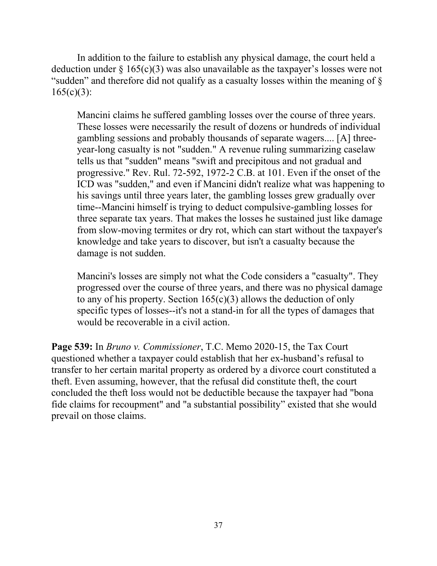In addition to the failure to establish any physical damage, the court held a deduction under  $\S 165(c)(3)$  was also unavailable as the taxpayer's losses were not "sudden" and therefore did not qualify as a casualty losses within the meaning of §  $165(c)(3)$ :

Mancini claims he suffered gambling losses over the course of three years. These losses were necessarily the result of dozens or hundreds of individual gambling sessions and probably thousands of separate wagers.... [A] threeyear-long casualty is not "sudden." A revenue ruling summarizing caselaw tells us that "sudden" means "swift and precipitous and not gradual and progressive." Rev. Rul. 72-592, 1972-2 C.B. at 101. Even if the onset of the ICD was "sudden," and even if Mancini didn't realize what was happening to his savings until three years later, the gambling losses grew gradually over time--Mancini himself is trying to deduct compulsive-gambling losses for three separate tax years. That makes the losses he sustained just like damage from slow-moving termites or dry rot, which can start without the taxpayer's knowledge and take years to discover, but isn't a casualty because the damage is not sudden.

Mancini's losses are simply not what the Code considers a "casualty". They progressed over the course of three years, and there was no physical damage to any of his property. Section  $165(c)(3)$  allows the deduction of only specific types of losses--it's not a stand-in for all the types of damages that would be recoverable in a civil action.

**Page 539:** In *Bruno v. Commissioner*, T.C. Memo 2020-15, the Tax Court questioned whether a taxpayer could establish that her ex-husband's refusal to transfer to her certain marital property as ordered by a divorce court constituted a theft. Even assuming, however, that the refusal did constitute theft, the court concluded the theft loss would not be deductible because the taxpayer had "bona fide claims for recoupment" and "a substantial possibility" existed that she would prevail on those claims.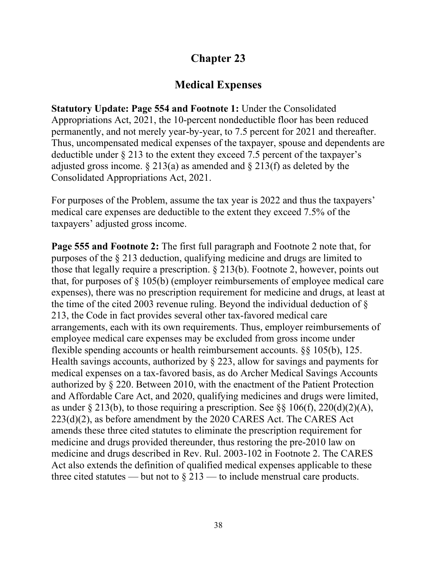## **Medical Expenses**

**Statutory Update: Page 554 and Footnote 1:** Under the Consolidated Appropriations Act, 2021, the 10-percent nondeductible floor has been reduced permanently, and not merely year-by-year, to 7.5 percent for 2021 and thereafter. Thus, uncompensated medical expenses of the taxpayer, spouse and dependents are deductible under § 213 to the extent they exceed 7.5 percent of the taxpayer's adjusted gross income.  $\S 213(a)$  as amended and  $\S 213(f)$  as deleted by the Consolidated Appropriations Act, 2021.

For purposes of the Problem, assume the tax year is 2022 and thus the taxpayers' medical care expenses are deductible to the extent they exceed 7.5% of the taxpayers' adjusted gross income.

**Page 555 and Footnote 2:** The first full paragraph and Footnote 2 note that, for purposes of the § 213 deduction, qualifying medicine and drugs are limited to those that legally require a prescription. § 213(b). Footnote 2, however, points out that, for purposes of § 105(b) (employer reimbursements of employee medical care expenses), there was no prescription requirement for medicine and drugs, at least at the time of the cited 2003 revenue ruling. Beyond the individual deduction of § 213, the Code in fact provides several other tax-favored medical care arrangements, each with its own requirements. Thus, employer reimbursements of employee medical care expenses may be excluded from gross income under flexible spending accounts or health reimbursement accounts. §§ 105(b), 125. Health savings accounts, authorized by § 223, allow for savings and payments for medical expenses on a tax-favored basis, as do Archer Medical Savings Accounts authorized by § 220. Between 2010, with the enactment of the Patient Protection and Affordable Care Act, and 2020, qualifying medicines and drugs were limited, as under § 213(b), to those requiring a prescription. See §§ 106(f), 220(d)(2)(A), 223(d)(2), as before amendment by the 2020 CARES Act. The CARES Act amends these three cited statutes to eliminate the prescription requirement for medicine and drugs provided thereunder, thus restoring the pre-2010 law on medicine and drugs described in Rev. Rul. 2003-102 in Footnote 2. The CARES Act also extends the definition of qualified medical expenses applicable to these three cited statutes — but not to  $\S 213$  — to include menstrual care products.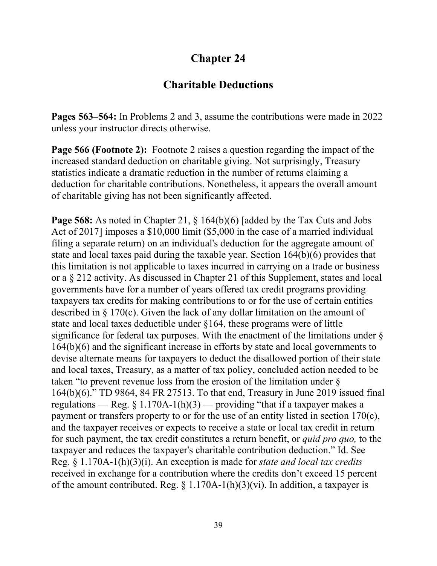### **Charitable Deductions**

**Pages 563–564:** In Problems 2 and 3, assume the contributions were made in 2022 unless your instructor directs otherwise.

**Page 566 (Footnote 2):** Footnote 2 raises a question regarding the impact of the increased standard deduction on charitable giving. Not surprisingly, Treasury statistics indicate a dramatic reduction in the number of returns claiming a deduction for charitable contributions. Nonetheless, it appears the overall amount of charitable giving has not been significantly affected.

**Page 568:** As noted in Chapter 21, § 164(b)(6) [added by the Tax Cuts and Jobs Act of 2017] imposes a \$10,000 limit (\$5,000 in the case of a married individual filing a separate return) on an individual's deduction for the aggregate amount of state and local taxes paid during the taxable year. Section 164(b)(6) provides that this limitation is not applicable to taxes incurred in carrying on a trade or business or a § 212 activity. As discussed in Chapter 21 of this Supplement, states and local governments have for a number of years offered tax credit programs providing taxpayers tax credits for making contributions to or for the use of certain entities described in § 170(c). Given the lack of any dollar limitation on the amount of state and local taxes deductible under §164, these programs were of little significance for federal tax purposes. With the enactment of the limitations under § 164(b)(6) and the significant increase in efforts by state and local governments to devise alternate means for taxpayers to deduct the disallowed portion of their state and local taxes, Treasury, as a matter of tax policy, concluded action needed to be taken "to prevent revenue loss from the erosion of the limitation under § 164(b)(6)." TD 9864, 84 FR 27513. To that end, Treasury in June 2019 issued final regulations — Reg.  $\S 1.170A-1(h)(3)$  — providing "that if a taxpayer makes a payment or transfers property to or for the use of an entity listed in section 170(c), and the taxpayer receives or expects to receive a state or local tax credit in return for such payment, the tax credit constitutes a return benefit, or *quid pro quo,* to the taxpayer and reduces the taxpayer's charitable contribution deduction." Id. See Reg. § 1.170A-1(h)(3)(i). An exception is made for *state and local tax credits*  received in exchange for a contribution where the credits don't exceed 15 percent of the amount contributed. Reg.  $\S 1.170A-1(h)(3)(vi)$ . In addition, a taxpayer is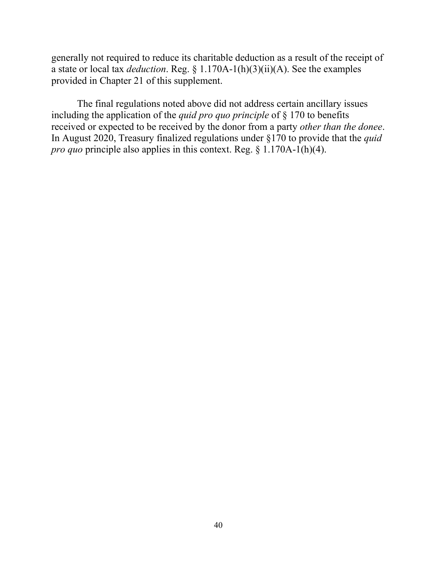generally not required to reduce its charitable deduction as a result of the receipt of a state or local tax *deduction*. Reg. § 1.170A-1(h)(3)(ii)(A). See the examples provided in Chapter 21 of this supplement.

The final regulations noted above did not address certain ancillary issues including the application of the *quid pro quo principle* of § 170 to benefits received or expected to be received by the donor from a party *other than the donee*. In August 2020, Treasury finalized regulations under §170 to provide that the *quid pro quo* principle also applies in this context. Reg. § 1.170A-1(h)(4).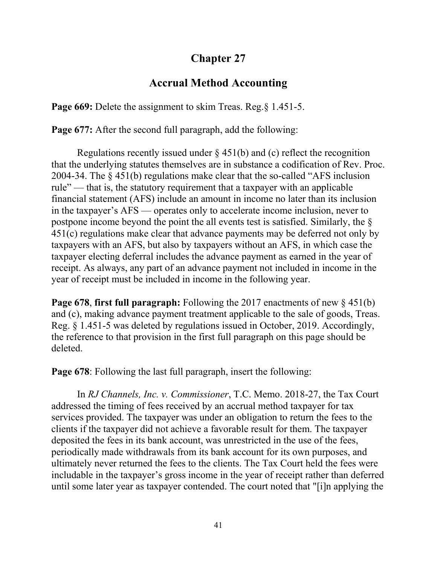## **Accrual Method Accounting**

**Page 669:** Delete the assignment to skim Treas. Reg. § 1.451-5.

**Page 677:** After the second full paragraph, add the following:

Regulations recently issued under  $\S$  451(b) and (c) reflect the recognition that the underlying statutes themselves are in substance a codification of Rev. Proc. 2004-34. The § 451(b) regulations make clear that the so-called "AFS inclusion rule" — that is, the statutory requirement that a taxpayer with an applicable financial statement (AFS) include an amount in income no later than its inclusion in the taxpayer's AFS — operates only to accelerate income inclusion, never to postpone income beyond the point the all events test is satisfied. Similarly, the § 451(c) regulations make clear that advance payments may be deferred not only by taxpayers with an AFS, but also by taxpayers without an AFS, in which case the taxpayer electing deferral includes the advance payment as earned in the year of receipt. As always, any part of an advance payment not included in income in the year of receipt must be included in income in the following year.

**Page 678**, **first full paragraph:** Following the 2017 enactments of new § 451(b) and (c), making advance payment treatment applicable to the sale of goods, Treas. Reg. § 1.451-5 was deleted by regulations issued in October, 2019. Accordingly, the reference to that provision in the first full paragraph on this page should be deleted.

**Page 678:** Following the last full paragraph, insert the following:

In *RJ Channels, Inc. v. Commissioner*, T.C. Memo. 2018-27, the Tax Court addressed the timing of fees received by an accrual method taxpayer for tax services provided. The taxpayer was under an obligation to return the fees to the clients if the taxpayer did not achieve a favorable result for them. The taxpayer deposited the fees in its bank account, was unrestricted in the use of the fees, periodically made withdrawals from its bank account for its own purposes, and ultimately never returned the fees to the clients. The Tax Court held the fees were includable in the taxpayer's gross income in the year of receipt rather than deferred until some later year as taxpayer contended. The court noted that "[i]n applying the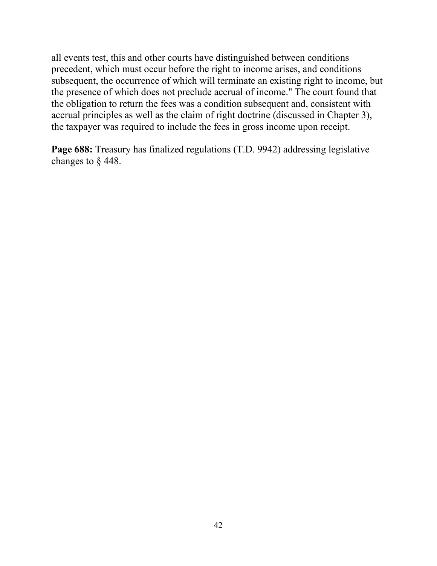all events test, this and other courts have distinguished between conditions precedent, which must occur before the right to income arises, and conditions subsequent, the occurrence of which will terminate an existing right to income, but the presence of which does not preclude accrual of income." The court found that the obligation to return the fees was a condition subsequent and, consistent with accrual principles as well as the claim of right doctrine (discussed in Chapter 3), the taxpayer was required to include the fees in gross income upon receipt.

**Page 688:** Treasury has finalized regulations (T.D. 9942) addressing legislative changes to § 448.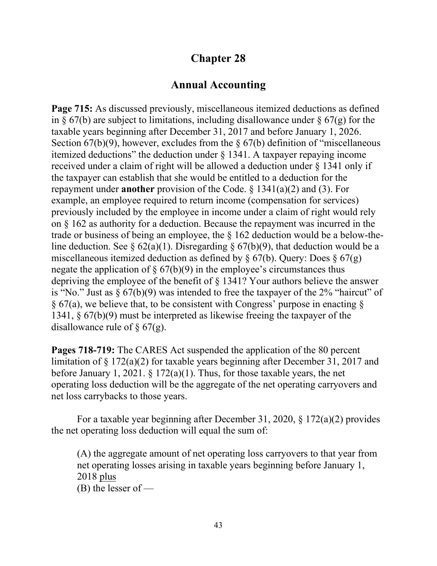### **Annual Accounting**

**Page 715:** As discussed previously, miscellaneous itemized deductions as defined in  $\S 67(b)$  are subject to limitations, including disallowance under  $\S 67(g)$  for the taxable years beginning after December 31, 2017 and before January 1, 2026. Section  $67(b)(9)$ , however, excludes from the §  $67(b)$  definition of "miscellaneous" itemized deductions" the deduction under  $\S$  1341. A taxpayer repaying income received under a claim of right will be allowed a deduction under § 1341 only if the taxpayer can establish that she would be entitled to a deduction for the repayment under **another** provision of the Code. § 1341(a)(2) and (3). For example, an employee required to return income (compensation for services) previously included by the employee in income under a claim of right would rely on § 162 as authority for a deduction. Because the repayment was incurred in the trade or business of being an employee, the § 162 deduction would be a below-theline deduction. See §  $62(a)(1)$ . Disregarding §  $67(b)(9)$ , that deduction would be a miscellaneous itemized deduction as defined by  $\S 67(b)$ . Query: Does  $\S 67(g)$ negate the application of  $\S 67(b)(9)$  in the employee's circumstances thus depriving the employee of the benefit of § 1341? Your authors believe the answer is "No." Just as  $\S 67(b)(9)$  was intended to free the taxpayer of the 2% "haircut" of  $\S$  67(a), we believe that, to be consistent with Congress' purpose in enacting  $\S$ 1341, § 67(b)(9) must be interpreted as likewise freeing the taxpayer of the disallowance rule of  $\S$  67(g).

**Pages 718-719:** The CARES Act suspended the application of the 80 percent limitation of § 172(a)(2) for taxable years beginning after December 31, 2017 and before January 1, 2021. § 172(a)(1). Thus, for those taxable years, the net operating loss deduction will be the aggregate of the net operating carryovers and net loss carrybacks to those years.

For a taxable year beginning after December 31, 2020, § 172(a)(2) provides the net operating loss deduction will equal the sum of:

(A) the aggregate amount of net operating loss carryovers to that year from net operating losses arising in taxable years beginning before January 1, 2018 plus  $(B)$  the lesser of —

43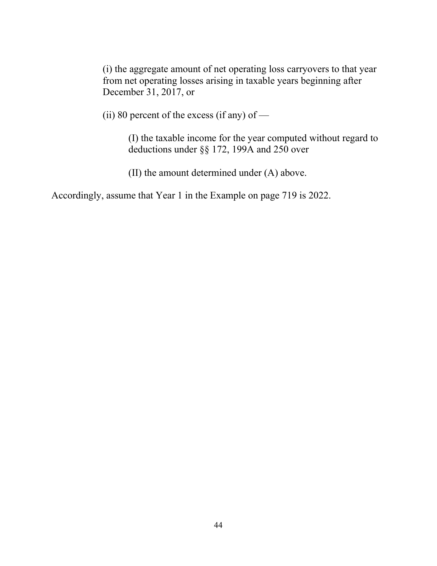(i) the aggregate amount of net operating loss carryovers to that year from net operating losses arising in taxable years beginning after December 31, 2017, or

(ii) 80 percent of the excess (if any) of  $-$ 

(I) the taxable income for the year computed without regard to deductions under §§ 172, 199A and 250 over

(II) the amount determined under (A) above.

Accordingly, assume that Year 1 in the Example on page 719 is 2022.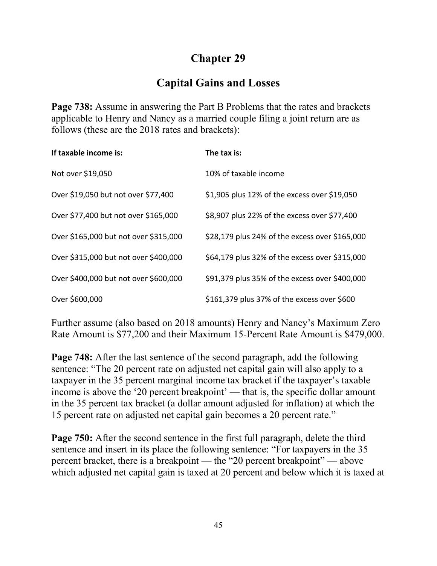## **Capital Gains and Losses**

**Page 738:** Assume in answering the Part B Problems that the rates and brackets applicable to Henry and Nancy as a married couple filing a joint return are as follows (these are the 2018 rates and brackets):

| If taxable income is:                 | The tax is:                                    |
|---------------------------------------|------------------------------------------------|
| Not over \$19,050                     | 10% of taxable income                          |
| Over \$19,050 but not over \$77,400   | \$1,905 plus 12% of the excess over \$19,050   |
| Over \$77,400 but not over \$165,000  | \$8,907 plus 22% of the excess over \$77,400   |
| Over \$165,000 but not over \$315,000 | \$28,179 plus 24% of the excess over \$165,000 |
| Over \$315,000 but not over \$400,000 | \$64,179 plus 32% of the excess over \$315,000 |
| Over \$400,000 but not over \$600,000 | \$91,379 plus 35% of the excess over \$400,000 |
| Over \$600,000                        | \$161,379 plus 37% of the excess over \$600    |

Further assume (also based on 2018 amounts) Henry and Nancy's Maximum Zero Rate Amount is \$77,200 and their Maximum 15-Percent Rate Amount is \$479,000.

**Page 748:** After the last sentence of the second paragraph, add the following sentence: "The 20 percent rate on adjusted net capital gain will also apply to a taxpayer in the 35 percent marginal income tax bracket if the taxpayer's taxable income is above the '20 percent breakpoint' — that is, the specific dollar amount in the 35 percent tax bracket (a dollar amount adjusted for inflation) at which the 15 percent rate on adjusted net capital gain becomes a 20 percent rate."

**Page 750:** After the second sentence in the first full paragraph, delete the third sentence and insert in its place the following sentence: "For taxpayers in the 35 percent bracket, there is a breakpoint — the "20 percent breakpoint" — above which adjusted net capital gain is taxed at 20 percent and below which it is taxed at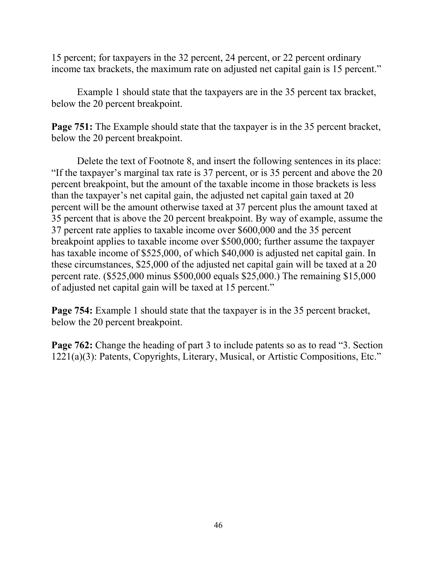15 percent; for taxpayers in the 32 percent, 24 percent, or 22 percent ordinary income tax brackets, the maximum rate on adjusted net capital gain is 15 percent."

Example 1 should state that the taxpayers are in the 35 percent tax bracket, below the 20 percent breakpoint.

**Page 751:** The Example should state that the taxpayer is in the 35 percent bracket, below the 20 percent breakpoint.

Delete the text of Footnote 8, and insert the following sentences in its place: "If the taxpayer's marginal tax rate is 37 percent, or is 35 percent and above the 20 percent breakpoint, but the amount of the taxable income in those brackets is less than the taxpayer's net capital gain, the adjusted net capital gain taxed at 20 percent will be the amount otherwise taxed at 37 percent plus the amount taxed at 35 percent that is above the 20 percent breakpoint. By way of example, assume the 37 percent rate applies to taxable income over \$600,000 and the 35 percent breakpoint applies to taxable income over \$500,000; further assume the taxpayer has taxable income of \$525,000, of which \$40,000 is adjusted net capital gain. In these circumstances, \$25,000 of the adjusted net capital gain will be taxed at a 20 percent rate. (\$525,000 minus \$500,000 equals \$25,000.) The remaining \$15,000 of adjusted net capital gain will be taxed at 15 percent."

**Page 754:** Example 1 should state that the taxpayer is in the 35 percent bracket, below the 20 percent breakpoint.

**Page 762:** Change the heading of part 3 to include patents so as to read "3. Section" 1221(a)(3): Patents, Copyrights, Literary, Musical, or Artistic Compositions, Etc."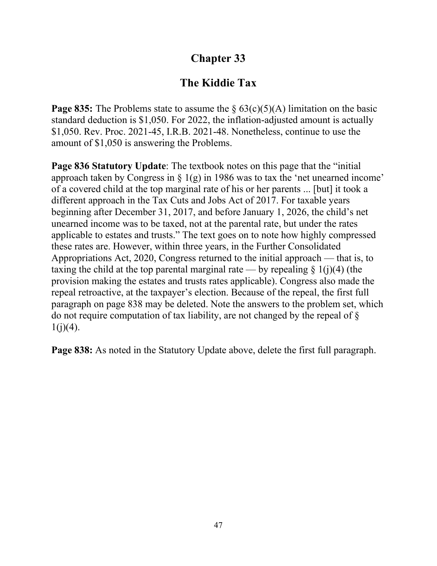## **The Kiddie Tax**

**Page 835:** The Problems state to assume the  $\S 63(c)(5)(A)$  limitation on the basic standard deduction is \$1,050. For 2022, the inflation-adjusted amount is actually \$1,050. Rev. Proc. 2021-45, I.R.B. 2021-48. Nonetheless, continue to use the amount of \$1,050 is answering the Problems.

**Page 836 Statutory Update**: The textbook notes on this page that the "initial approach taken by Congress in  $\S 1(g)$  in 1986 was to tax the 'net unearned income' of a covered child at the top marginal rate of his or her parents ... [but] it took a different approach in the Tax Cuts and Jobs Act of 2017. For taxable years beginning after December 31, 2017, and before January 1, 2026, the child's net unearned income was to be taxed, not at the parental rate, but under the rates applicable to estates and trusts." The text goes on to note how highly compressed these rates are. However, within three years, in the Further Consolidated Appropriations Act, 2020, Congress returned to the initial approach — that is, to taxing the child at the top parental marginal rate — by repealing  $\S$  1(j)(4) (the provision making the estates and trusts rates applicable). Congress also made the repeal retroactive, at the taxpayer's election. Because of the repeal, the first full paragraph on page 838 may be deleted. Note the answers to the problem set, which do not require computation of tax liability, are not changed by the repeal of §  $1(j)(4)$ .

**Page 838:** As noted in the Statutory Update above, delete the first full paragraph.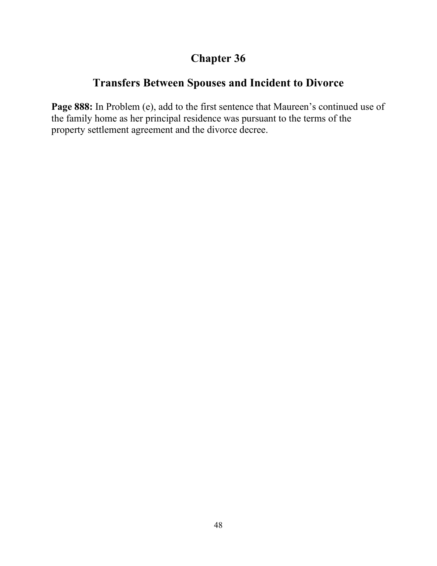## **Transfers Between Spouses and Incident to Divorce**

**Page 888:** In Problem (e), add to the first sentence that Maureen's continued use of the family home as her principal residence was pursuant to the terms of the property settlement agreement and the divorce decree.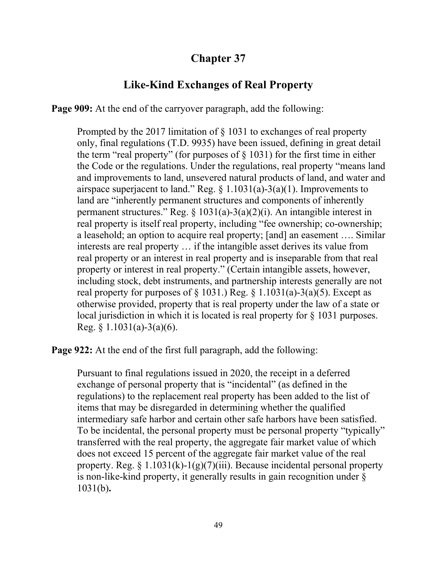## **Like-Kind Exchanges of Real Property**

**Page 909:** At the end of the carryover paragraph, add the following:

Prompted by the 2017 limitation of § 1031 to exchanges of real property only, final regulations (T.D. 9935) have been issued, defining in great detail the term "real property" (for purposes of  $\S$  1031) for the first time in either the Code or the regulations. Under the regulations, real property "means land and improvements to land, unsevered natural products of land, and water and airspace superjacent to land." Reg.  $\S$  1.1031(a)-3(a)(1). Improvements to land are "inherently permanent structures and components of inherently permanent structures." Reg.  $\S 1031(a)-3(a)(2)(i)$ . An intangible interest in real property is itself real property, including "fee ownership; co-ownership; a leasehold; an option to acquire real property; [and] an easement …. Similar interests are real property … if the intangible asset derives its value from real property or an interest in real property and is inseparable from that real property or interest in real property." (Certain intangible assets, however, including stock, debt instruments, and partnership interests generally are not real property for purposes of  $\S$  1031.) Reg.  $\S$  1.1031(a)-3(a)(5). Except as otherwise provided, property that is real property under the law of a state or local jurisdiction in which it is located is real property for § 1031 purposes. Reg. § 1.1031(a)-3(a)(6).

**Page 922:** At the end of the first full paragraph, add the following:

Pursuant to final regulations issued in 2020, the receipt in a deferred exchange of personal property that is "incidental" (as defined in the regulations) to the replacement real property has been added to the list of items that may be disregarded in determining whether the qualified intermediary safe harbor and certain other safe harbors have been satisfied. To be incidental, the personal property must be personal property "typically" transferred with the real property, the aggregate fair market value of which does not exceed 15 percent of the aggregate fair market value of the real property. Reg.  $\S 1.1031(k)-1(g)(7)(iii)$ . Because incidental personal property is non-like-kind property, it generally results in gain recognition under § 1031(b)**.**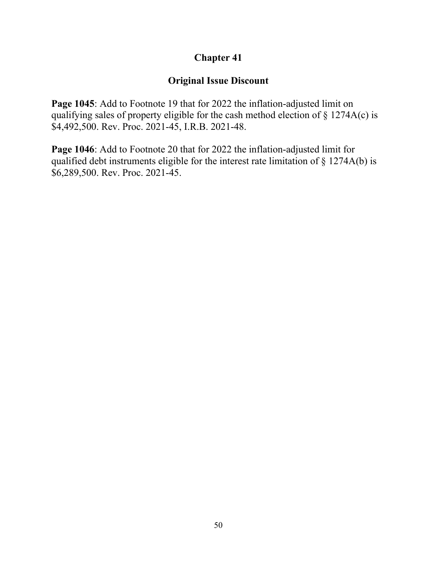#### **Original Issue Discount**

**Page 1045**: Add to Footnote 19 that for 2022 the inflation-adjusted limit on qualifying sales of property eligible for the cash method election of § 1274A(c) is \$4,492,500. Rev. Proc. 2021-45, I.R.B. 2021-48.

**Page 1046**: Add to Footnote 20 that for 2022 the inflation-adjusted limit for qualified debt instruments eligible for the interest rate limitation of § 1274A(b) is \$6,289,500. Rev. Proc. 2021-45.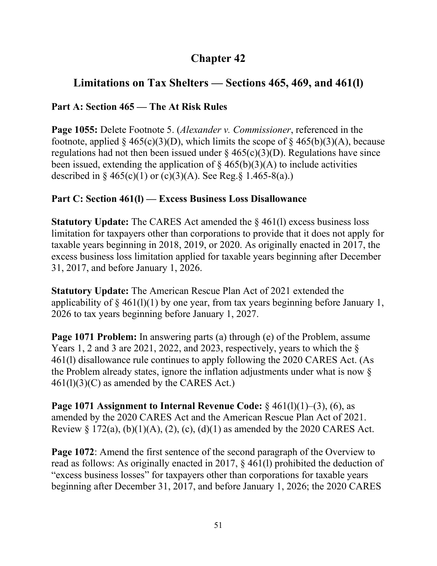## **Limitations on Tax Shelters — Sections 465, 469, and 461(l)**

### **Part A: Section 465 — The At Risk Rules**

**Page 1055:** Delete Footnote 5. (*Alexander v. Commissioner*, referenced in the footnote, applied § 465(c)(3)(D), which limits the scope of § 465(b)(3)(A), because regulations had not then been issued under  $\S 465(c)(3)(D)$ . Regulations have since been issued, extending the application of  $\S$  465(b)(3)(A) to include activities described in § 465(c)(1) or (c)(3)(A). See Reg.§ 1.465-8(a).)

### **Part C: Section 461(l) — Excess Business Loss Disallowance**

**Statutory Update:** The CARES Act amended the § 461(l) excess business loss limitation for taxpayers other than corporations to provide that it does not apply for taxable years beginning in 2018, 2019, or 2020. As originally enacted in 2017, the excess business loss limitation applied for taxable years beginning after December 31, 2017, and before January 1, 2026.

**Statutory Update:** The American Rescue Plan Act of 2021 extended the applicability of  $\S$  461(1)(1) by one year, from tax years beginning before January 1, 2026 to tax years beginning before January 1, 2027.

**Page 1071 Problem:** In answering parts (a) through (e) of the Problem, assume Years 1, 2 and 3 are 2021, 2022, and 2023, respectively, years to which the § 461(l) disallowance rule continues to apply following the 2020 CARES Act. (As the Problem already states, ignore the inflation adjustments under what is now §  $461(1)(3)(C)$  as amended by the CARES Act.)

**Page 1071 Assignment to Internal Revenue Code:** § 461(l)(1)–(3), (6), as amended by the 2020 CARES Act and the American Rescue Plan Act of 2021. Review § 172(a), (b)(1)(A), (2), (c), (d)(1) as amended by the 2020 CARES Act.

**Page 1072**: Amend the first sentence of the second paragraph of the Overview to read as follows: As originally enacted in 2017, § 461(l) prohibited the deduction of "excess business losses" for taxpayers other than corporations for taxable years beginning after December 31, 2017, and before January 1, 2026; the 2020 CARES